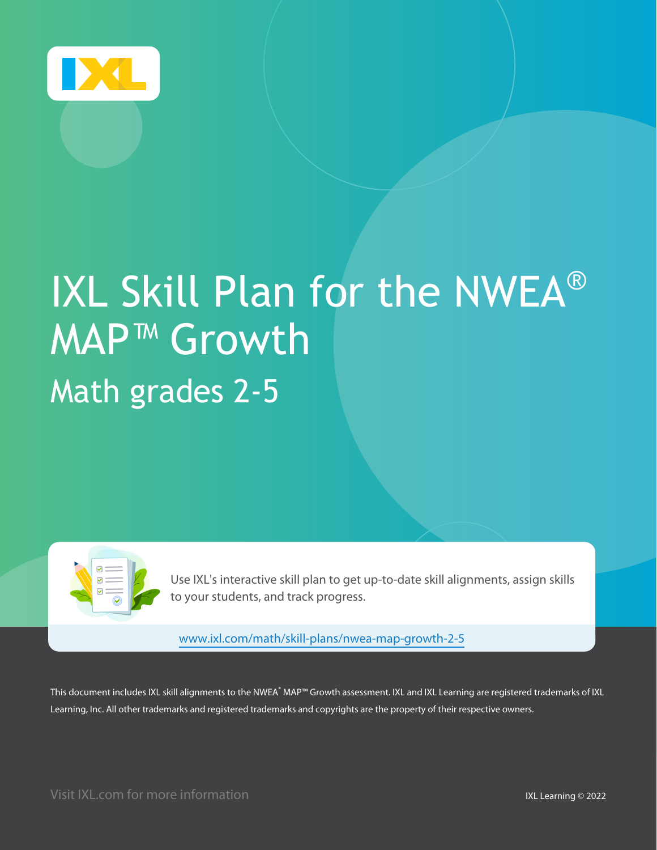

# IXL Skill Plan for the NWEA® MAP™ Growth Math grades 2-5

Use IXL's interactive skill plan to get up-to-date skill alignments, assign skills to your students, and track progress.

www.ixl.com/math/skill-plans/nwea-map-growth-2-5

This document includes IXL skill alignments to the NWEA $\degree$ MAP™ Growth assessment. IXL and IXL Learning are registered trademarks of IXL Learning, Inc. All other trademarks and registered trademarks and copyrights are the property of their respective owners.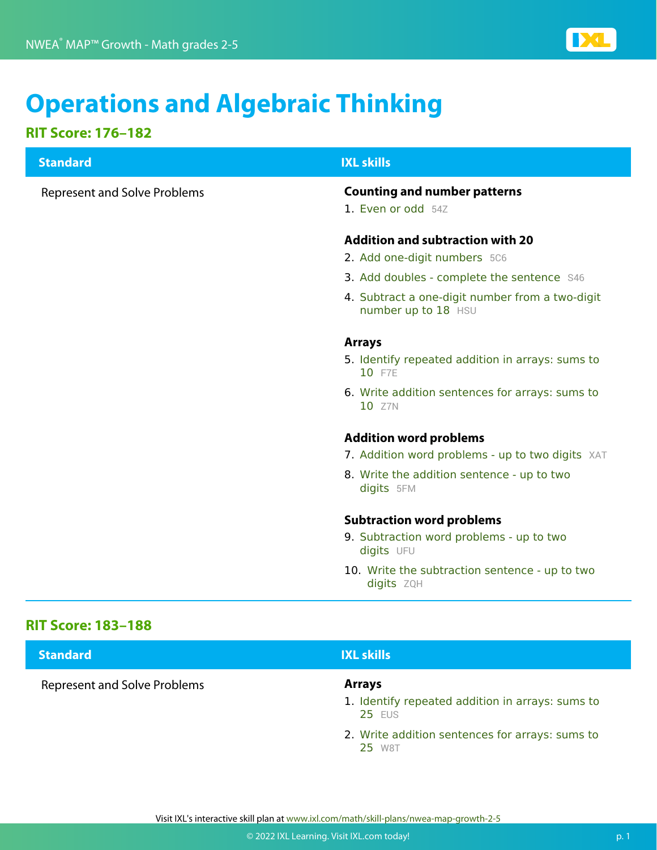

## **Operations and Algebraic Thinking**

### **RIT Score: 176–182**

## **RIT Score: 183–188 Standard IXL skills** Represent and Solve Problems **Counting and number patterns** 1. Even or odd 54Z **Addition and subtraction with 20** 2. Add one-digit numbers 5C6 3. Add doubles - complete the sentence S46 4. Subtract a one-digit number from a two-digit number up to 18 HSU **Arrays** 5. Identify repeated addition in arrays: sums to 10 F7E 6. Write addition sentences for arrays: sums to 10 Z7N **Addition word problems** 7. Addition word problems - up to two digits XAT 8. Write the addition sentence - up to two digits 5FM **Subtraction word problems** 9. Subtraction word problems - up to two digits UFU 10. Write the subtraction sentence - up to two digits **ZQH**

| <b>Standard</b>                     | <b>IXL skills</b>                                                                  |
|-------------------------------------|------------------------------------------------------------------------------------|
| <b>Represent and Solve Problems</b> | <b>Arrays</b><br>1. Identify repeated addition in arrays: sums to<br><b>25 FUS</b> |
|                                     | 2. Write addition sentences for arrays: sums to<br>25 W8T                          |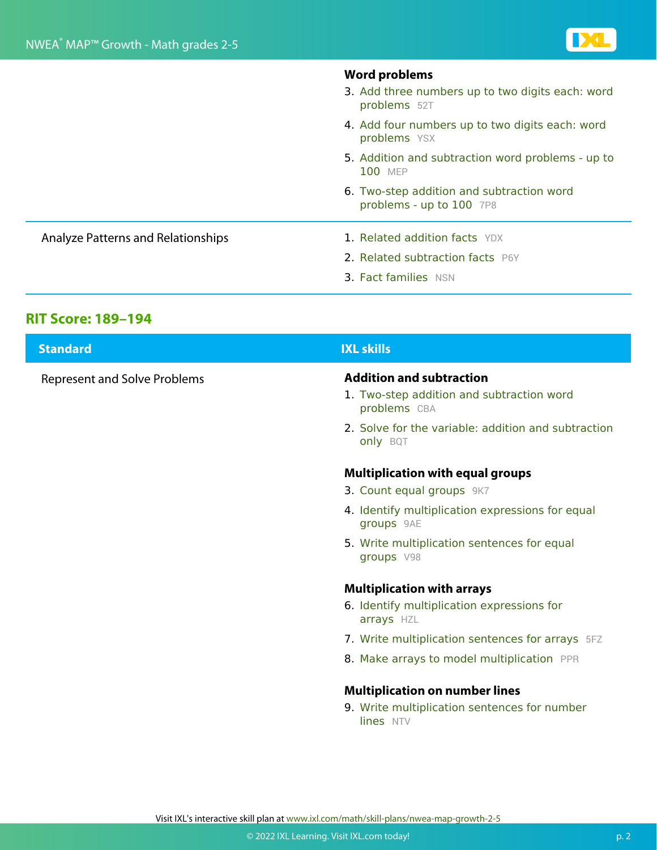|                                           | 3. Add three numbers up to two digits each: word<br>problems 52T      |
|-------------------------------------------|-----------------------------------------------------------------------|
|                                           | 4. Add four numbers up to two digits each: word<br>problems YSX       |
|                                           | 5. Addition and subtraction word problems - up to<br><b>100 MEP</b>   |
|                                           | 6. Two-step addition and subtraction word<br>problems - up to 100 7P8 |
| <b>Analyze Patterns and Relationships</b> | <b>1. Related addition facts YDX</b>                                  |
|                                           | 2. Related subtraction facts P6Y                                      |
|                                           | 3. Fact families NSN                                                  |

**Word problems**

#### **RIT Score: 189–194**

| <b>Standard</b>                     | <b>IXL skills</b>                                                                            |
|-------------------------------------|----------------------------------------------------------------------------------------------|
| <b>Represent and Solve Problems</b> | <b>Addition and subtraction</b><br>1. Two-step addition and subtraction word<br>problems CBA |
|                                     | 2. Solve for the variable: addition and subtraction<br><b>only BQT</b>                       |
|                                     | <b>Multiplication with equal groups</b>                                                      |
|                                     | 3. Count equal groups 9K7                                                                    |
|                                     | 4. Identify multiplication expressions for equal<br>groups 9AE                               |
|                                     | 5. Write multiplication sentences for equal<br>groups V98                                    |
|                                     | <b>Multiplication with arrays</b>                                                            |
|                                     | 6. Identify multiplication expressions for<br>arrays HZL                                     |
|                                     | 7. Write multiplication sentences for arrays 5FZ                                             |

8. Make arrays to model multiplication PPR

#### **Multiplication on number lines**

9. Write multiplication sentences for number lines NTV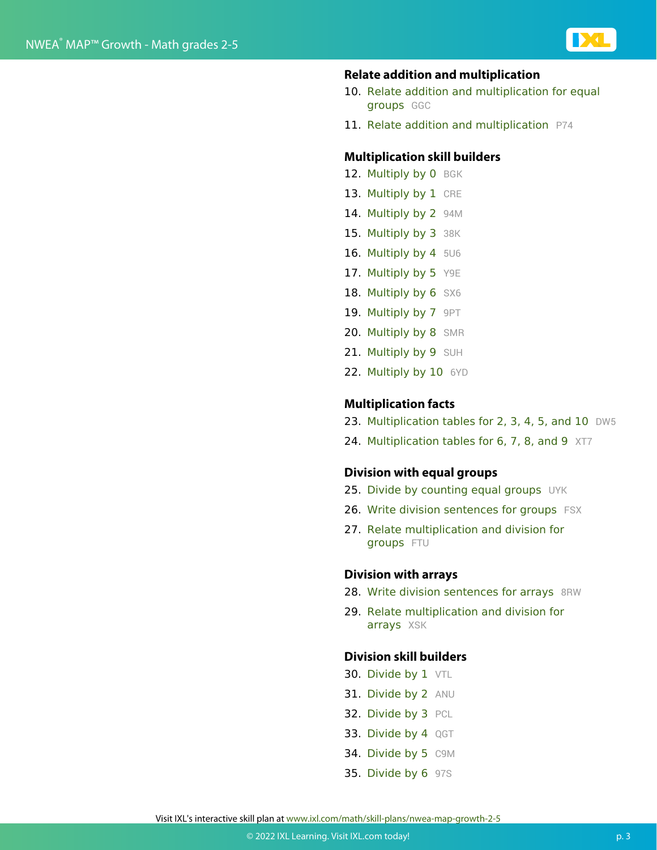

#### **Relate addition and multiplication**

- 10. Relate addition and multiplication for equal groups GGC
- 11. Relate addition and multiplication P74

#### **Multiplication skill builders**

- 12. Multiply by 0 BGK
- 13. Multiply by 1 CRE
- 14. Multiply by 2 94M
- 15. Multiply by 3 38K
- 16. Multiply by 4 5U6
- 17. Multiply by 5 Y9E
- 18. Multiply by 6 SX6
- 19. Multiply by 7 9PT
- 20. Multiply by 8 SMR
- 21. Multiply by 9 SUH
- 22. Multiply by 10 6YD

#### **Multiplication facts**

- 23. Multiplication tables for 2, 3, 4, 5, and 10 DW5
- 24. Multiplication tables for 6, 7, 8, and 9 XT7

#### **Division with equal groups**

- 25. Divide by counting equal groups UYK
- 26. Write division sentences for groups FSX
- 27. Relate multiplication and division for groups FTU

#### **Division with arrays**

- 28. Write division sentences for arrays 8RW
- 29. Relate multiplication and division for arrays XSK

#### **Division skill builders**

- 30. Divide by 1 VTL
- 31. Divide by 2 ANU
- 32. Divide by 3 PCL
- 33. Divide by 4 QGT
- 34. Divide by 5 C9M
- **35. Divide by 6 97S**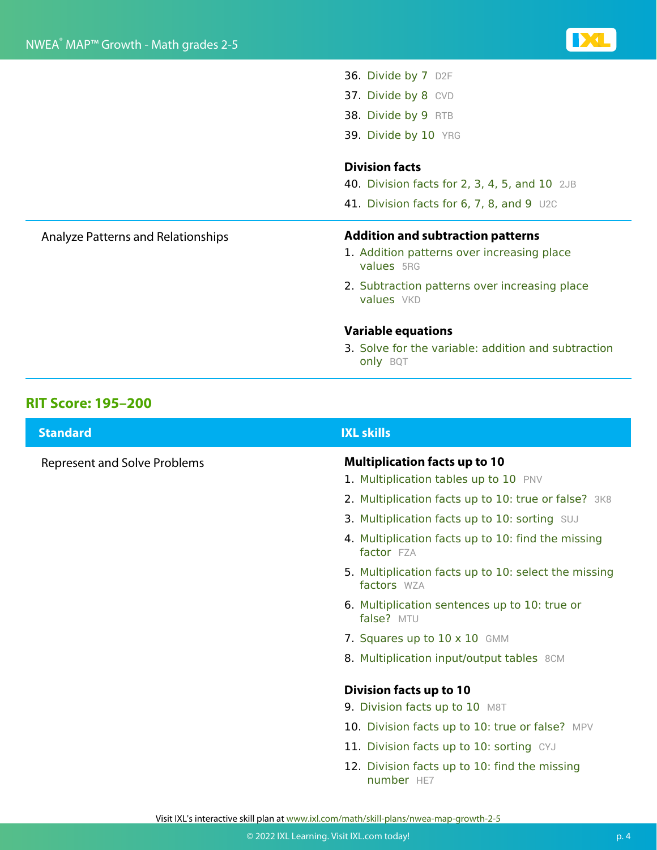- 36. Divide by 7 D2F
- 37. Divide by 8 CVD
- 38. Divide by 9 RTB
- 39. Divide by 10 YRG

#### **Division facts**

- 40. Division facts for 2, 3, 4, 5, and 10 2JB
- 41. Division facts for 6, 7, 8, and 9 U2C

#### Analyze Patterns and Relationships **Addition and subtraction patterns**

- 1. Addition patterns over increasing place values 5RG
- 2. Subtraction patterns over increasing place values VKD

#### **Variable equations**

3. Solve for the variable: addition and subtraction only BQT

#### **RIT Score: 195–200**

| <b>Standard</b>                     | <b>IXL skills</b>                                                             |
|-------------------------------------|-------------------------------------------------------------------------------|
| <b>Represent and Solve Problems</b> | <b>Multiplication facts up to 10</b><br>1. Multiplication tables up to 10 PNV |
|                                     | 2. Multiplication facts up to 10: true or false? 3K8                          |
|                                     | 3. Multiplication facts up to 10: sorting SUJ                                 |
|                                     | 4. Multiplication facts up to 10: find the missing<br>factor FZA              |
|                                     | 5. Multiplication facts up to 10: select the missing<br>factors WZA           |
|                                     | 6. Multiplication sentences up to 10: true or<br>false? MTU                   |
|                                     | 7. Squares up to $10 \times 10$ GMM                                           |
|                                     | 8. Multiplication input/output tables 8CM                                     |
|                                     | <b>Division facts up to 10</b>                                                |
|                                     | 9. Division facts up to 10 M8T                                                |
|                                     | 10. Division facts up to 10: true or false? MPV                               |
|                                     | 11. Division facts up to 10: sorting CYJ                                      |
|                                     | 12. Division facts up to 10: find the missing<br>number HE7                   |
|                                     |                                                                               |

Visit IXL's interactive skill plan at www.ixl.com/math/skill-plans/nwea-map-growth-2-5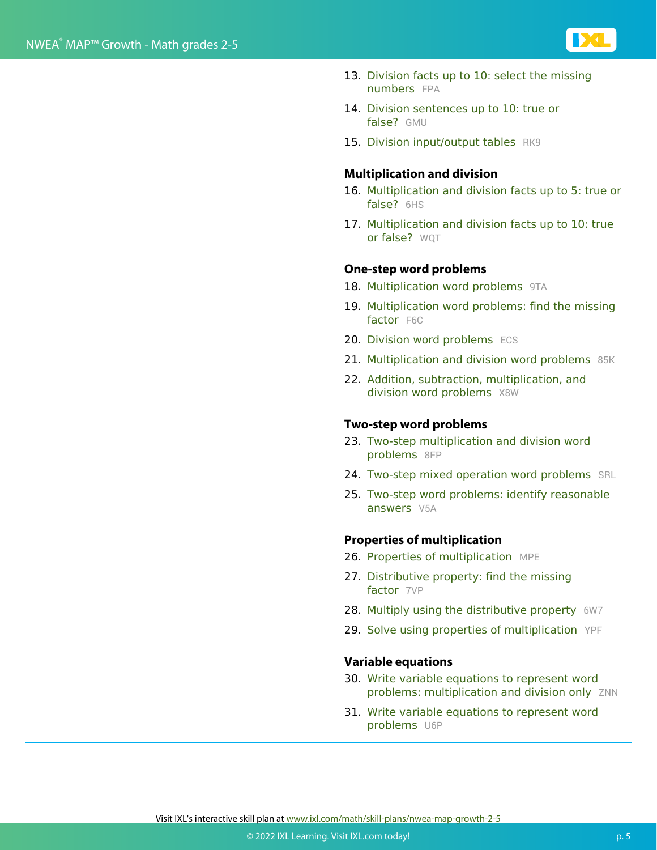

- 13. Division facts up to 10: select the missing numbers FPA
- 14. Division sentences up to 10: true or false? GMU
- 15. Division input/output tables RK9

#### **Multiplication and division**

- 16. Multiplication and division facts up to 5: true or false? 6HS
- 17. Multiplication and division facts up to 10: true or false? WOT

#### **One-step word problems**

- 18. Multiplication word problems 9TA
- 19. Multiplication word problems: find the missing factor F6C
- 20. Division word problems ECS
- 21. Multiplication and division word problems 85K
- 22. Addition, subtraction, multiplication, and division word problems X8W

#### **Two-step word problems**

- 23. Two-step multiplication and division word problems 8FP
- 24. Two-step mixed operation word problems SRL
- 25. Two-step word problems: identify reasonable answers V5A

#### **Properties of multiplication**

- 26. Properties of multiplication MPE
- 27. Distributive property: find the missing factor 7VP
- 28. Multiply using the distributive property 6W7
- 29. Solve using properties of multiplication YPF

#### **Variable equations**

- 30. Write variable equations to represent word problems: multiplication and division only ZNN
- 31. Write variable equations to represent word problems U6P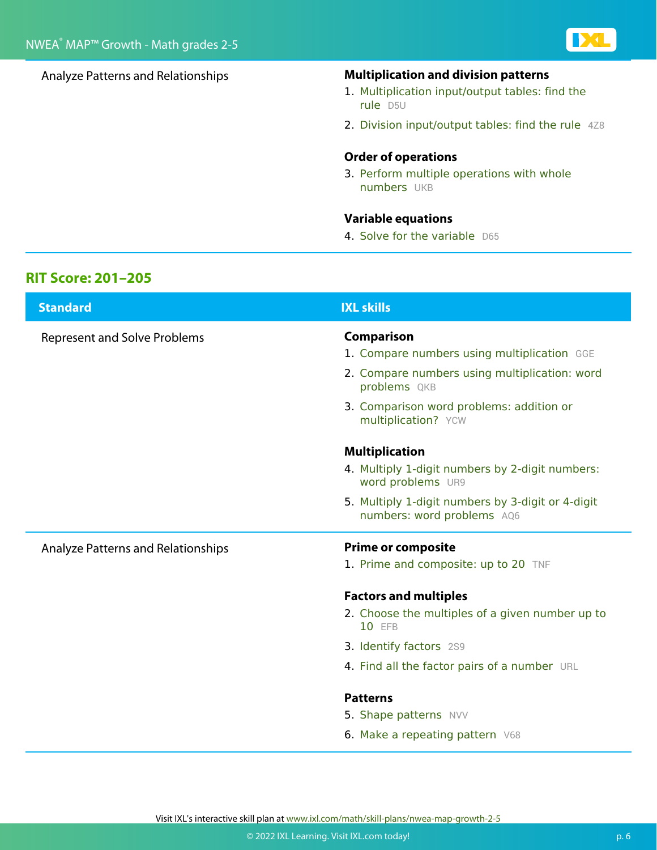

#### Analyze Patterns and Relationships **Multiplication and division patterns**

- 1. Multiplication input/output tables: find the rule D5U
- 2. Division input/output tables: find the rule 4Z8

#### **Order of operations**

3. Perform multiple operations with whole numbers UKB

#### **Variable equations**

4. Solve for the variable D65

#### **RIT Score: 201–205**

| <b>Standard</b>                     | <b>IXL skills</b>                                                               |
|-------------------------------------|---------------------------------------------------------------------------------|
| <b>Represent and Solve Problems</b> | Comparison                                                                      |
|                                     | 1. Compare numbers using multiplication GGE                                     |
|                                     | 2. Compare numbers using multiplication: word<br>problems QKB                   |
|                                     | 3. Comparison word problems: addition or<br>multiplication? YCW                 |
|                                     | <b>Multiplication</b>                                                           |
|                                     | 4. Multiply 1-digit numbers by 2-digit numbers:<br>word problems UR9            |
|                                     | 5. Multiply 1-digit numbers by 3-digit or 4-digit<br>numbers: word problems AQ6 |
| Analyze Patterns and Relationships  | <b>Prime or composite</b>                                                       |
|                                     | 1. Prime and composite: up to 20 TNF                                            |
|                                     | <b>Factors and multiples</b>                                                    |
|                                     | 2. Choose the multiples of a given number up to<br>10 EFB                       |
|                                     | 3. Identify factors 2S9                                                         |
|                                     | 4. Find all the factor pairs of a number URL                                    |
|                                     | <b>Patterns</b>                                                                 |
|                                     | 5. Shape patterns NVV                                                           |
|                                     | 6. Make a repeating pattern V68                                                 |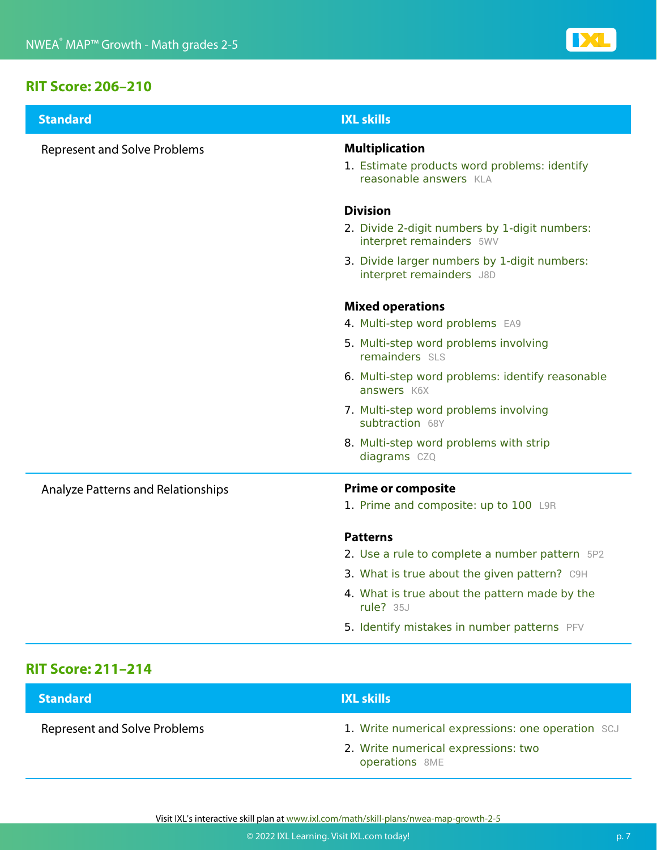#### **RIT Score: 206–210**

| <b>Standard</b>                     | <b>IXL skills</b>                                                                               |
|-------------------------------------|-------------------------------------------------------------------------------------------------|
| <b>Represent and Solve Problems</b> | <b>Multiplication</b><br>1. Estimate products word problems: identify<br>reasonable answers KLA |
|                                     | <b>Division</b>                                                                                 |
|                                     | 2. Divide 2-digit numbers by 1-digit numbers:<br>interpret remainders 5WV                       |
|                                     | 3. Divide larger numbers by 1-digit numbers:<br>interpret remainders J8D                        |
|                                     | <b>Mixed operations</b>                                                                         |
|                                     | 4. Multi-step word problems EA9                                                                 |
|                                     | 5. Multi-step word problems involving<br>remainders SLS                                         |
|                                     | 6. Multi-step word problems: identify reasonable<br>answers K6X                                 |
|                                     | 7. Multi-step word problems involving<br>subtraction 68Y                                        |
|                                     | 8. Multi-step word problems with strip<br>diagrams CZQ                                          |
| Analyze Patterns and Relationships  | <b>Prime or composite</b>                                                                       |
|                                     | 1. Prime and composite: up to 100 L9R                                                           |
|                                     | <b>Patterns</b>                                                                                 |
|                                     | 2. Use a rule to complete a number pattern 5P2                                                  |
|                                     | 3. What is true about the given pattern? C9H                                                    |
|                                     | 4. What is true about the pattern made by the<br>rule? $35J$                                    |
|                                     | 5. Identify mistakes in number patterns PFV                                                     |

### **RIT Score: 211–214**

| <b>Standard</b>                     | <b>IXL skills</b>                                     |
|-------------------------------------|-------------------------------------------------------|
| <b>Represent and Solve Problems</b> | 1. Write numerical expressions: one operation SCJ     |
|                                     | 2. Write numerical expressions: two<br>operations 8ME |

Visit IXL's interactive skill plan at www.ixl.com/math/skill-plans/nwea-map-growth-2-5

**IDCL**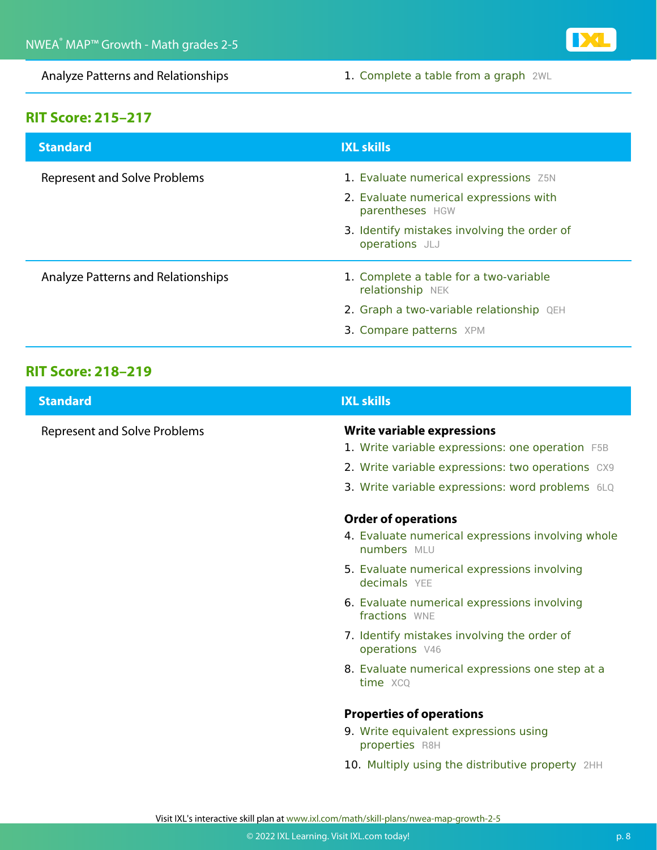

Analyze Patterns and Relationships 1. Complete a table from a graph 2WL

### **RIT Score: 215–217**

| <b>Standard</b>                     | <b>IXL skills</b>                                             |
|-------------------------------------|---------------------------------------------------------------|
| <b>Represent and Solve Problems</b> | 1. Evaluate numerical expressions Z5N                         |
|                                     | 2. Evaluate numerical expressions with<br>parentheses HGW     |
|                                     | 3. Identify mistakes involving the order of<br>operations JLJ |
| Analyze Patterns and Relationships  | 1. Complete a table for a two-variable<br>relationship NEK    |
|                                     | 2. Graph a two-variable relationship QEH                      |
|                                     | 3. Compare patterns XPM                                       |
|                                     |                                                               |

### **RIT Score: 218–219**

| <b>Standard</b>                     | <b>IXL skills</b>                                                                              |
|-------------------------------------|------------------------------------------------------------------------------------------------|
| <b>Represent and Solve Problems</b> | Write variable expressions<br>1. Write variable expressions: one operation F5B                 |
|                                     | 2. Write variable expressions: two operations CX9                                              |
|                                     | 3. Write variable expressions: word problems 6LQ                                               |
|                                     | <b>Order of operations</b><br>4. Evaluate numerical expressions involving whole<br>numbers MLU |
|                                     | 5. Evaluate numerical expressions involving<br>decimals YEE                                    |
|                                     | 6. Evaluate numerical expressions involving<br>fractions WNF                                   |
|                                     | 7. Identify mistakes involving the order of<br>operations V46                                  |
|                                     | 8. Evaluate numerical expressions one step at a<br>time XCQ                                    |
|                                     | <b>Properties of operations</b>                                                                |
|                                     | 9. Write equivalent expressions using<br>properties R8H                                        |
|                                     | 10. Multiply using the distributive property 2HH                                               |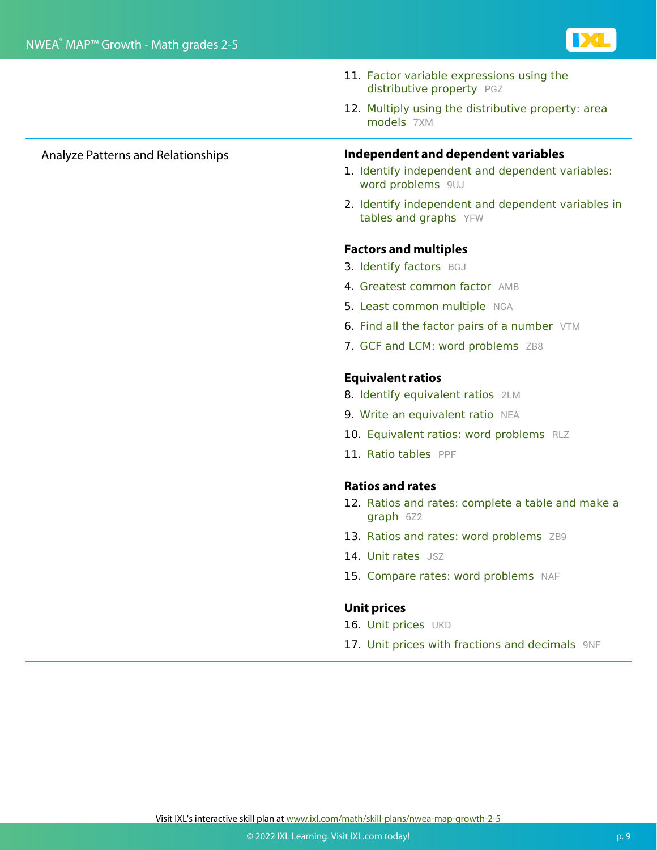

- 11. Factor variable expressions using the distributive property PGZ
- 12. Multiply using the distributive property: area models 7XM

- Analyze Patterns and Relationships **Independent and dependent variables**
	- 1. Identify independent and dependent variables: word problems 9UJ
	- 2. Identify independent and dependent variables in tables and graphs YFW

#### **Factors and multiples**

- 3. Identify factors BGJ
- 4. Greatest common factor AMB
- 5. Least common multiple NGA
- 6. Find all the factor pairs of a number VTM
- 7. GCF and LCM: word problems ZB8

#### **Equivalent ratios**

- 8. Identify equivalent ratios 2LM
- 9. Write an equivalent ratio NEA
- 10. Equivalent ratios: word problems RLZ
- 11. Ratio tables PPF

#### **Ratios and rates**

- 12. Ratios and rates: complete a table and make a graph 6Z2
- 13. Ratios and rates: word problems ZB9
- 14. Unit rates JSZ
- 15. Compare rates: word problems NAF

#### **Unit prices**

- 16. Unit prices UKD
- 17. Unit prices with fractions and decimals 9NF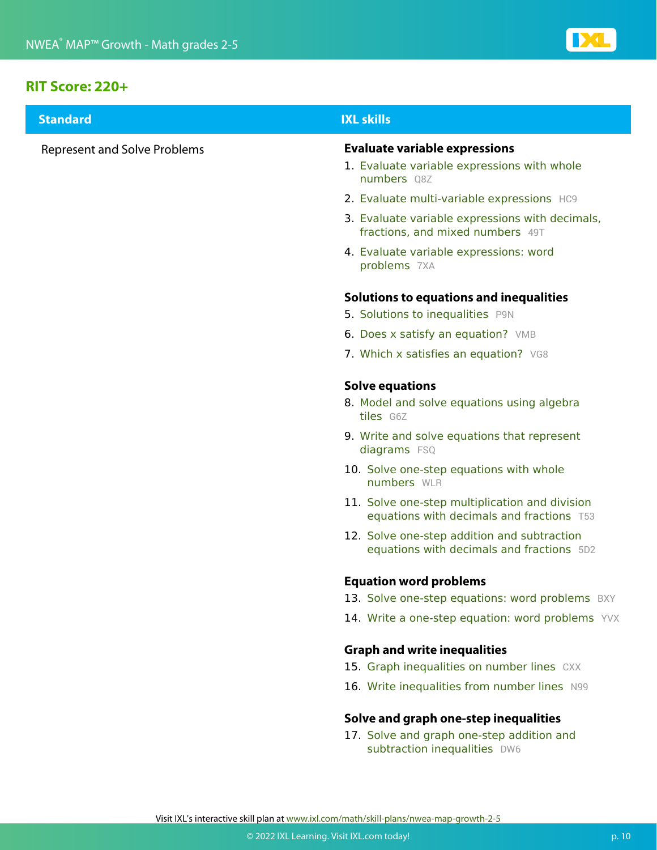

#### **RIT Score: 220+**

| <b>Standard</b>                     | <b>IXL skills</b>                                                                           |
|-------------------------------------|---------------------------------------------------------------------------------------------|
| <b>Represent and Solve Problems</b> | <b>Evaluate variable expressions</b><br>1. Evaluate variable expressions with whole         |
|                                     | numbers Q8Z                                                                                 |
|                                     | 2. Evaluate multi-variable expressions HC9                                                  |
|                                     | 3. Evaluate variable expressions with decimals,<br>fractions, and mixed numbers 49T         |
|                                     | 4. Evaluate variable expressions: word<br>problems 7XA                                      |
|                                     | Solutions to equations and inequalities                                                     |
|                                     | 5. Solutions to inequalities P9N                                                            |
|                                     | 6. Does x satisfy an equation? VMB                                                          |
|                                     | 7. Which x satisfies an equation? VG8                                                       |
|                                     | <b>Solve equations</b>                                                                      |
|                                     | 8. Model and solve equations using algebra<br>tiles G6Z                                     |
|                                     | 9. Write and solve equations that represent<br>diagrams FSQ                                 |
|                                     | 10. Solve one-step equations with whole<br>numbers WLR                                      |
|                                     | 11. Solve one-step multiplication and division<br>equations with decimals and fractions T53 |
|                                     | 12. Solve one-step addition and subtraction<br>equations with decimals and fractions 5D2    |
|                                     | <b>Equation word problems</b>                                                               |
|                                     | 13. Solve one-step equations: word problems BXY                                             |
|                                     | 14. Write a one-step equation: word problems YVX                                            |
|                                     | <b>Graph and write inequalities</b>                                                         |
|                                     | 15. Graph inequalities on number lines CXX                                                  |
|                                     | 16. Write inequalities from number lines N99                                                |
|                                     | Solve and graph one-step inequalities                                                       |
|                                     | 17. Solve and graph one-step addition and<br>subtraction inequalities DW6                   |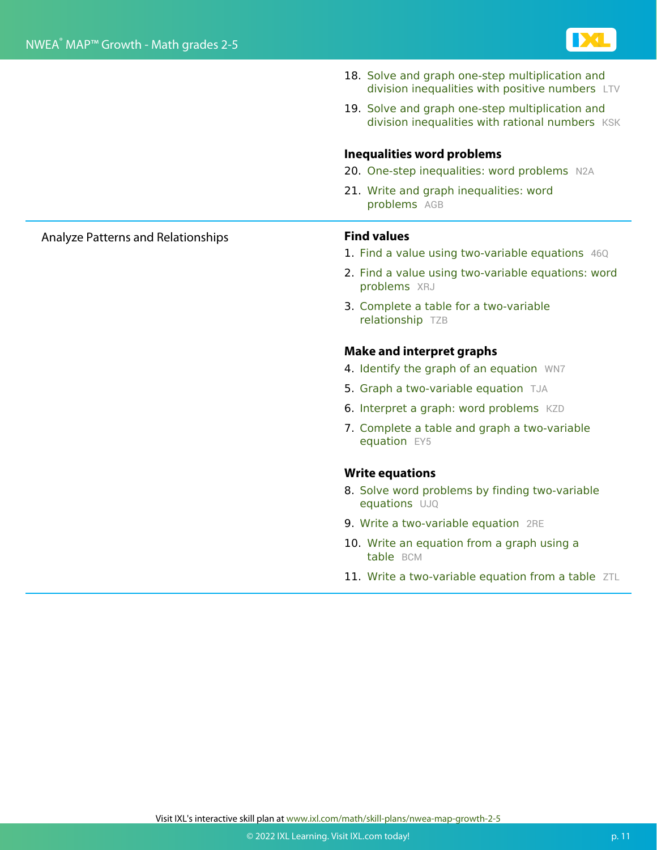

- 18. Solve and graph one-step multiplication and division inequalities with positive numbers LTV
- 19. Solve and graph one-step multiplication and division inequalities with rational numbers KSK

#### **Inequalities word problems**

- 20. One-step inequalities: word problems N2A
- 21. Write and graph inequalities: word problems AGB

- 1. Find a value using two-variable equations 46Q
- 2. Find a value using two-variable equations: word problems XRJ
- 3. Complete a table for a two-variable relationship TZB

#### **Make and interpret graphs**

- 4. Identify the graph of an equation WN7
- 5. Graph a two-variable equation TJA
- 6. Interpret a graph: word problems KZD
- 7. Complete a table and graph a two-variable equation EY5

#### **Write equations**

- 8. Solve word problems by finding two-variable equations UJQ
- 9. Write a two-variable equation 2RE
- 10. Write an equation from a graph using a table BCM
- 11. Write a two-variable equation from a table ZTL

Analyze Patterns and Relationships **Find values**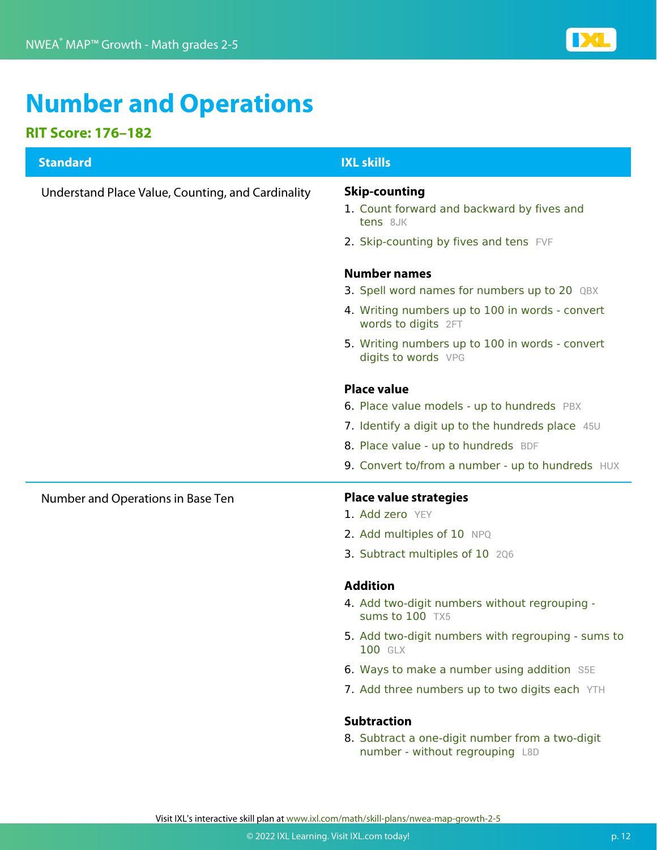

## **Number and Operations**

### **RIT Score: 176–182**

| <b>Standard</b>                                   | <b>IXL skills</b>                                                                                                                                                                                |
|---------------------------------------------------|--------------------------------------------------------------------------------------------------------------------------------------------------------------------------------------------------|
| Understand Place Value, Counting, and Cardinality | <b>Skip-counting</b><br>1. Count forward and backward by fives and<br>tens 8JK                                                                                                                   |
|                                                   | 2. Skip-counting by fives and tens FVF                                                                                                                                                           |
|                                                   | <b>Number names</b><br>3. Spell word names for numbers up to 20 QBX<br>4. Writing numbers up to 100 in words - convert<br>words to digits 2FT<br>5. Writing numbers up to 100 in words - convert |
|                                                   | digits to words VPG<br><b>Place value</b>                                                                                                                                                        |
|                                                   | 6. Place value models - up to hundreds PBX                                                                                                                                                       |
|                                                   | 7. Identify a digit up to the hundreds place 45U                                                                                                                                                 |
|                                                   | 8. Place value - up to hundreds BDF                                                                                                                                                              |
|                                                   | 9. Convert to/from a number - up to hundreds HUX                                                                                                                                                 |
| Number and Operations in Base Ten                 | <b>Place value strategies</b>                                                                                                                                                                    |
|                                                   | 1. Add zero YEY                                                                                                                                                                                  |
|                                                   | 2. Add multiples of 10 NPQ                                                                                                                                                                       |
|                                                   | 3. Subtract multiples of 10 206                                                                                                                                                                  |
|                                                   | <b>Addition</b>                                                                                                                                                                                  |
|                                                   | 4. Add two-digit numbers without regrouping -<br>Sums to 100 TX5                                                                                                                                 |
|                                                   | 5. Add two-digit numbers with regrouping - sums to<br>100 GLX                                                                                                                                    |
|                                                   | 6. Ways to make a number using addition S5E                                                                                                                                                      |
|                                                   | 7. Add three numbers up to two digits each YTH                                                                                                                                                   |
|                                                   | <b>Subtraction</b>                                                                                                                                                                               |
|                                                   | 8. Subtract a one-digit number from a two-digit<br>number - without regrouping L8D                                                                                                               |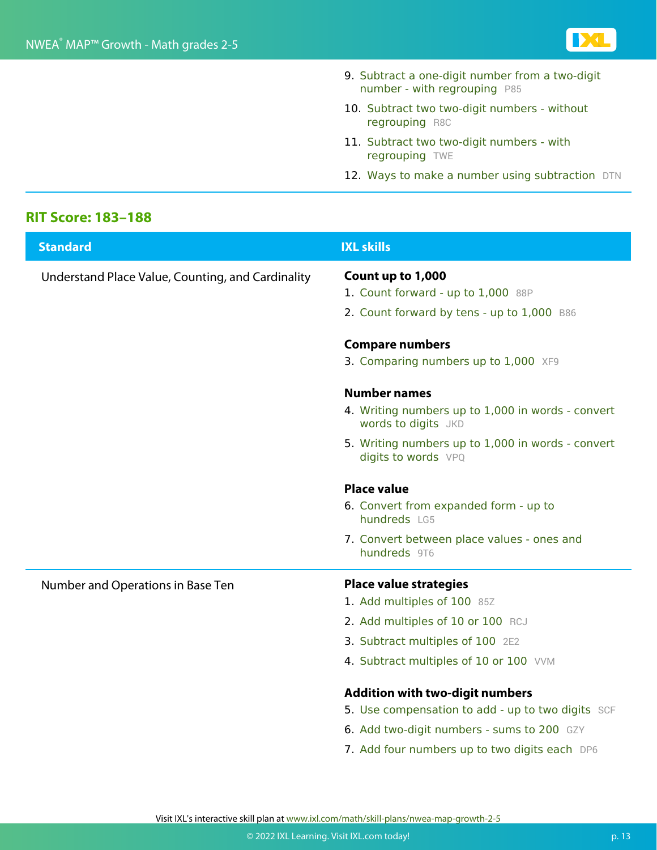

- 9. Subtract a one-digit number from a two-digit number - with regrouping P85
- 10. Subtract two two-digit numbers without regrouping R8C
- 11. Subtract two two-digit numbers with regrouping TWE
- 12. Ways to make a number using subtraction DTN

#### **RIT Score: 183–188**

| <b>Standard</b>                                   | <b>IXL skills</b>                                                        |
|---------------------------------------------------|--------------------------------------------------------------------------|
| Understand Place Value, Counting, and Cardinality | Count up to 1,000<br>1. Count forward - up to 1,000 88P                  |
|                                                   | 2. Count forward by tens - up to 1,000 B86                               |
|                                                   | <b>Compare numbers</b>                                                   |
|                                                   | 3. Comparing numbers up to 1,000 XF9                                     |
|                                                   | <b>Number names</b>                                                      |
|                                                   | 4. Writing numbers up to 1,000 in words - convert<br>words to digits JKD |
|                                                   | 5. Writing numbers up to 1,000 in words - convert<br>digits to words VPQ |
|                                                   | <b>Place value</b>                                                       |
|                                                   | 6. Convert from expanded form - up to<br>hundreds LG5                    |
|                                                   | 7. Convert between place values - ones and<br>hundreds 9T6               |
| Number and Operations in Base Ten                 | <b>Place value strategies</b>                                            |
|                                                   | 1. Add multiples of 100 85Z                                              |
|                                                   | 2. Add multiples of 10 or 100 RCJ                                        |
|                                                   | 3. Subtract multiples of 100 2E2                                         |
|                                                   | 4. Subtract multiples of 10 or 100 VVM                                   |
|                                                   | <b>Addition with two-digit numbers</b>                                   |
|                                                   | 5. Use compensation to add - up to two digits SCF                        |
|                                                   | 6. Add two-digit numbers - sums to 200 GZY                               |
|                                                   | 7. Add four numbers up to two digits each DP6                            |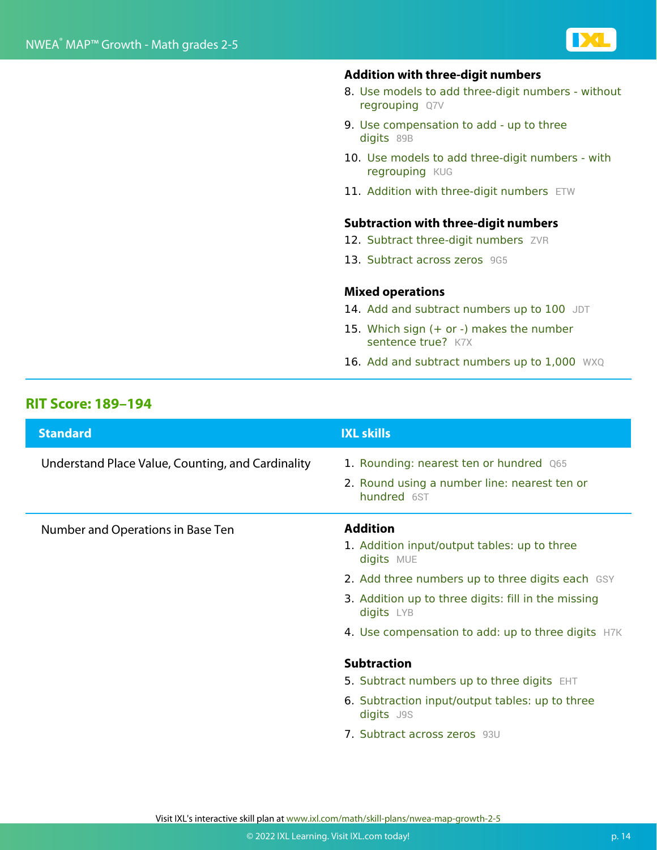

#### **Addition with three-digit numbers**

- 8. Use models to add three-digit numbers without regrouping Q7V
- 9. Use compensation to add up to three digits 89B
- 10. Use models to add three-digit numbers with regrouping KUG
- 11. Addition with three-digit numbers ETW

#### **Subtraction with three-digit numbers**

- 12. Subtract three-digit numbers ZVR
- 13. Subtract across zeros 9G5

#### **Mixed operations**

- 14. Add and subtract numbers up to 100 JDT
- 15. Which sign (+ or -) makes the number sentence true? K7X
- 16. Add and subtract numbers up to 1,000 WXQ

#### **RIT Score: 189–194**

| <b>Standard</b>                                   | <b>IXL skills</b>                                                 |
|---------------------------------------------------|-------------------------------------------------------------------|
| Understand Place Value, Counting, and Cardinality | 1. Rounding: nearest ten or hundred Q65                           |
|                                                   | 2. Round using a number line: nearest ten or<br>hundred 6ST       |
| Number and Operations in Base Ten                 | <b>Addition</b>                                                   |
|                                                   | 1. Addition input/output tables: up to three<br>digits MUE        |
|                                                   | 2. Add three numbers up to three digits each GSY                  |
|                                                   | 3. Addition up to three digits: fill in the missing<br>digits LYB |
|                                                   | 4. Use compensation to add: up to three digits H7K                |
|                                                   | <b>Subtraction</b>                                                |
|                                                   | 5. Subtract numbers up to three digits EHT                        |
|                                                   | 6. Subtraction input/output tables: up to three<br>digits J9S     |
|                                                   | 7. Subtract across zeros 93U                                      |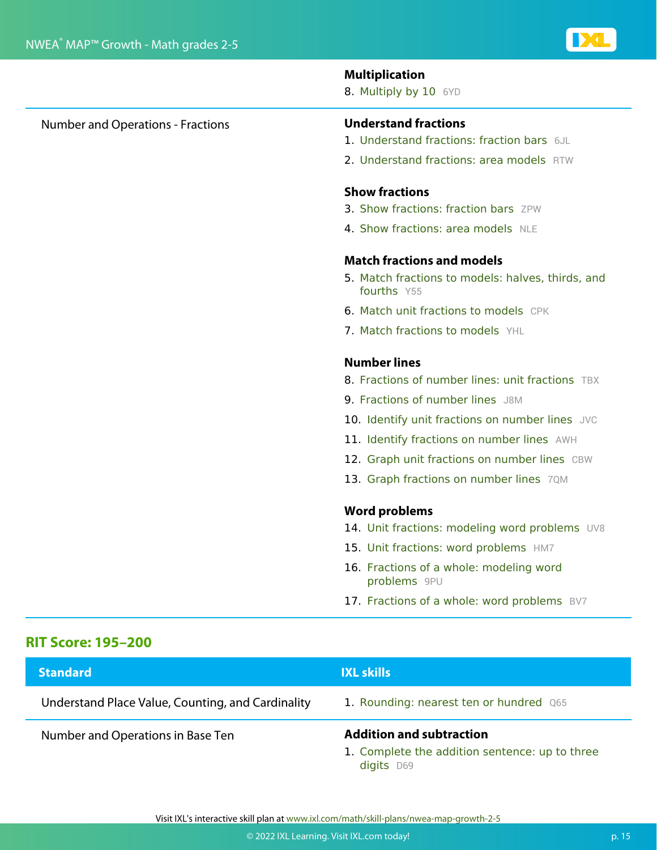#### **Multiplication**

8. Multiply by 10 6YD

#### Number and Operations - Fractions **Understand fractions**

- 1. Understand fractions: fraction bars 6JL
- 2. Understand fractions: area models RTW

#### **Show fractions**

- 3. Show fractions: fraction bars ZPW
- 4. Show fractions: area models NLE

#### **Match fractions and models**

- 5. Match fractions to models: halves, thirds, and fourths Y55
- 6. Match unit fractions to models CPK
- 7. Match fractions to models YHL

#### **Number lines**

- 8. Fractions of number lines: unit fractions TBX
- 9. Fractions of number lines J8M
- 10. Identify unit fractions on number lines JVC
- 11. Identify fractions on number lines AWH
- 12. Graph unit fractions on number lines CBW
- 13. Graph fractions on number lines 7QM

#### **Word problems**

- 14. Unit fractions: modeling word problems UV8
- 15. Unit fractions: word problems HM7
- 16. Fractions of a whole: modeling word problems 9PU
- 17. Fractions of a whole: word problems BV7

#### **RIT Score: 195–200**

| <b>Standard</b>                                   | <b>IXL skills</b>                                                                               |
|---------------------------------------------------|-------------------------------------------------------------------------------------------------|
| Understand Place Value, Counting, and Cardinality | 1. Rounding: nearest ten or hundred Q65                                                         |
| Number and Operations in Base Ten                 | <b>Addition and subtraction</b><br>1. Complete the addition sentence: up to three<br>digits D69 |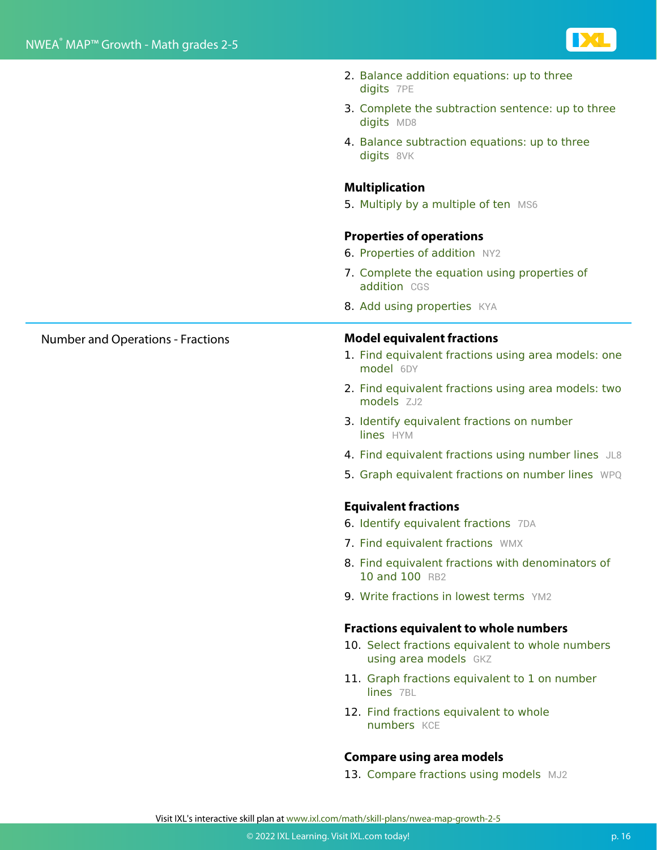

- 2. Balance addition equations: up to three digits 7PE
- 3. Complete the subtraction sentence: up to three digits MD8
- 4. Balance subtraction equations: up to three digits 8VK

#### **Multiplication**

5. Multiply by a multiple of ten MS6

#### **Properties of operations**

- **6. Properties of addition** NY2
- 7. Complete the equation using properties of addition CGS
- 8. Add using properties KYA

#### Number and Operations - Fractions **Model equivalent fractions**

- 1. Find equivalent fractions using area models: one model 6DY
- 2. Find equivalent fractions using area models: two models **ZJ2**
- 3. Identify equivalent fractions on number lines HYM
- 4. Find equivalent fractions using number lines JL8
- 5. Graph equivalent fractions on number lines WPQ

#### **Equivalent fractions**

- 6. Identify equivalent fractions 7DA
- 7. Find equivalent fractions WMX
- 8. Find equivalent fractions with denominators of 10 and 100 RB2
- 9. Write fractions in lowest terms YM2

#### **Fractions equivalent to whole numbers**

- 10. Select fractions equivalent to whole numbers using area models GKZ
- 11. Graph fractions equivalent to 1 on number lines 7BL
- 12. Find fractions equivalent to whole numbers **KCE**

#### **Compare using area models**

13. Compare fractions using models MJ2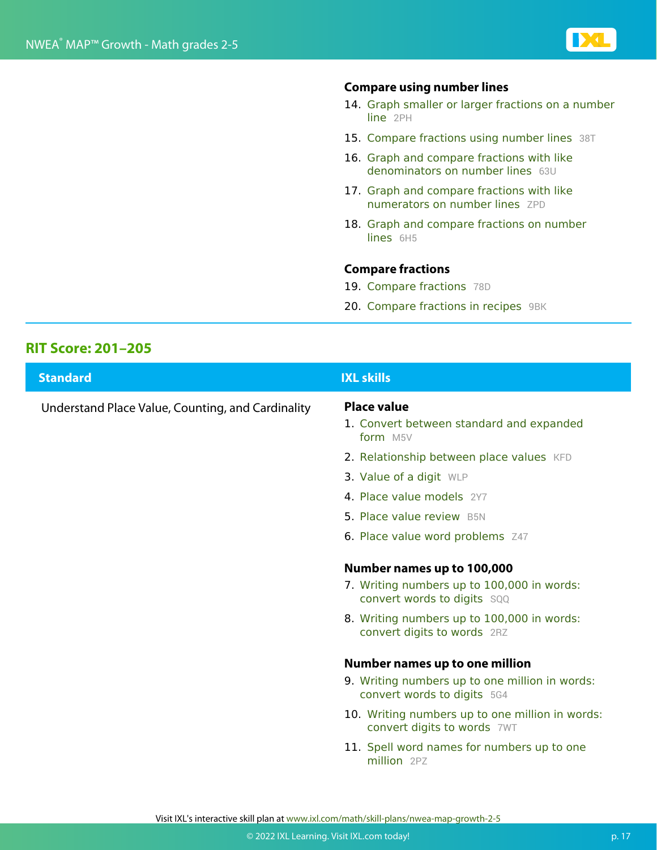

#### **Compare using number lines**

- 14. Graph smaller or larger fractions on a number line 2PH
- 15. Compare fractions using number lines 38T
- 16. Graph and compare fractions with like denominators on number lines 63U
- 17. Graph and compare fractions with like numerators on number lines ZPD
- 18. Graph and compare fractions on number lines 6H<sub>5</sub>

#### **Compare fractions**

- 19. Compare fractions 78D
- 20. Compare fractions in recipes 9BK

#### **RIT Score: 201–205**

| <b>Standard</b>                                   | <b>IXL skills</b>                                                                       |
|---------------------------------------------------|-----------------------------------------------------------------------------------------|
| Understand Place Value, Counting, and Cardinality | <b>Place value</b><br>1. Convert between standard and expanded<br>form M <sub>5</sub> V |
|                                                   | 2. Relationship between place values KFD                                                |
|                                                   | 3. Value of a digit WLP                                                                 |
|                                                   | 4. Place value models 2Y7                                                               |
|                                                   | 5. Place value review B5N                                                               |
|                                                   | 6. Place value word problems Z47                                                        |
|                                                   | Number names up to 100,000                                                              |
|                                                   | 7. Writing numbers up to 100,000 in words:<br>convert words to digits sqq               |
|                                                   | 8. Writing numbers up to 100,000 in words:<br>convert digits to words 2RZ               |
|                                                   | <b>Number names up to one million</b>                                                   |
|                                                   | 9. Writing numbers up to one million in words:<br>convert words to digits 5G4           |
|                                                   | 10. Writing numbers up to one million in words:<br>convert digits to words 7WT          |
|                                                   | 11. Spell word names for numbers up to one<br>million 2PZ                               |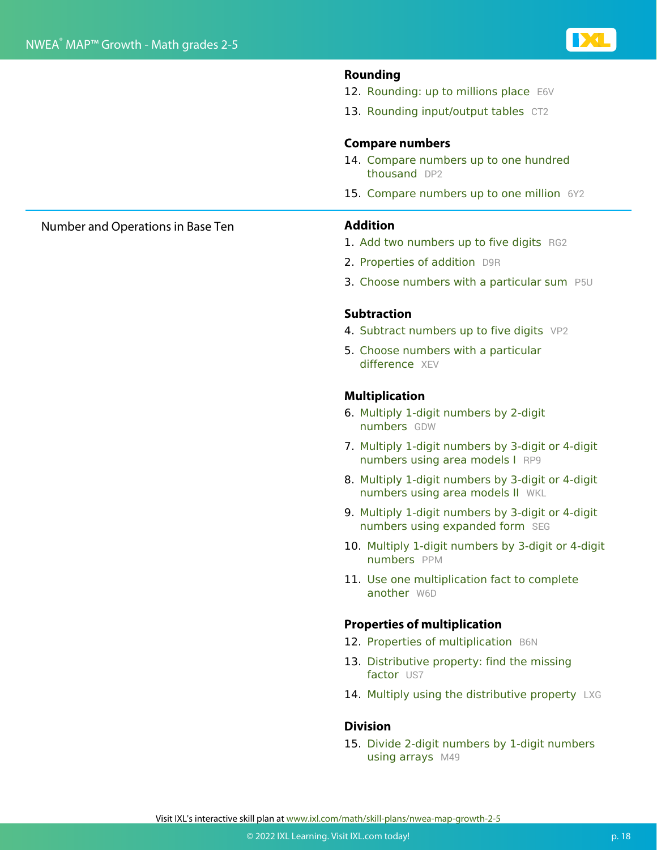

#### **Rounding**

- 12. Rounding: up to millions place E6V
- 13. Rounding input/output tables CT2

#### **Compare numbers**

- 14. Compare numbers up to one hundred thousand DP2
- 15. Compare numbers up to one million 6Y2

- 1. Add two numbers up to five digits RG2
- 2. Properties of addition D9R
- 3. Choose numbers with a particular sum P5U

#### **Subtraction**

- 4. Subtract numbers up to five digits VP2
- 5. Choose numbers with a particular difference XFV

#### **Multiplication**

- 6. Multiply 1-digit numbers by 2-digit numbers GDW
- 7. Multiply 1-digit numbers by 3-digit or 4-digit numbers using area models I RP9
- 8. Multiply 1-digit numbers by 3-digit or 4-digit numbers using area models II WKL
- 9. Multiply 1-digit numbers by 3-digit or 4-digit numbers using expanded form SEG
- 10. Multiply 1-digit numbers by 3-digit or 4-digit numbers PPM
- 11. Use one multiplication fact to complete another W6D

#### **Properties of multiplication**

- 12. Properties of multiplication B6N
- 13. Distributive property: find the missing factor US7
- 14. Multiply using the distributive property LXG

#### **Division**

15. Divide 2-digit numbers by 1-digit numbers using arrays M49

#### Number and Operations in Base Ten **Addition**

Visit IXL's interactive skill plan at www.ixl.com/math/skill-plans/nwea-map-growth-2-5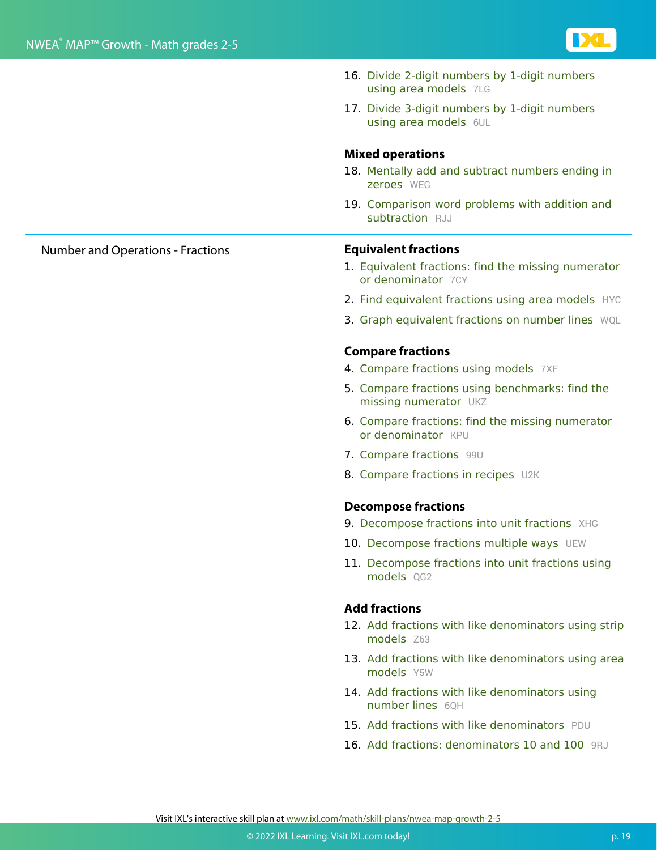

- 16. Divide 2-digit numbers by 1-digit numbers using area models 7LG
- 17. Divide 3-digit numbers by 1-digit numbers using area models 6UL

#### **Mixed operations**

- 18. Mentally add and subtract numbers ending in zeroes WEG
- 19. Comparison word problems with addition and subtraction RJJ

#### Number and Operations - Fractions **Equivalent fractions**

- 1. Equivalent fractions: find the missing numerator or denominator 7CY
- 2. Find equivalent fractions using area models HYC
- 3. Graph equivalent fractions on number lines WQL

#### **Compare fractions**

- 4. Compare fractions using models 7XF
- 5. Compare fractions using benchmarks: find the missing numerator UKZ
- 6. Compare fractions: find the missing numerator or denominator KPU
- 7. Compare fractions 99U
- 8. Compare fractions in recipes U2K

#### **Decompose fractions**

- 9. Decompose fractions into unit fractions XHG
- 10. Decompose fractions multiple ways UEW
- 11. Decompose fractions into unit fractions using models 0G2

#### **Add fractions**

- 12. Add fractions with like denominators using strip models Z63
- 13. Add fractions with like denominators using area models Y5W
- 14. Add fractions with like denominators using number lines 6QH
- 15. Add fractions with like denominators PDU
- 16. Add fractions: denominators 10 and 100 9RJ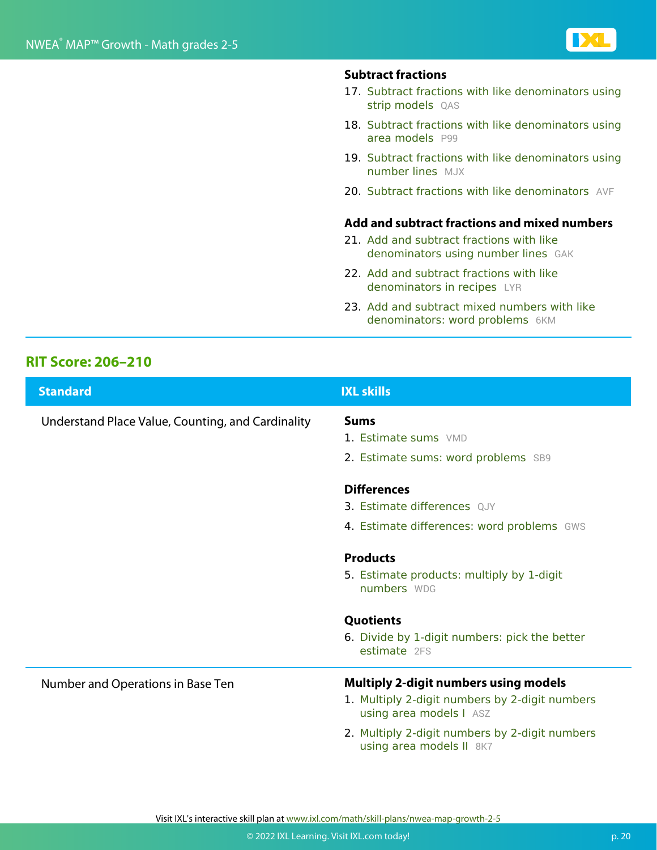#### **Subtract fractions**

- 17. Subtract fractions with like denominators using strip models QAS
- 18. Subtract fractions with like denominators using area models P99
- 19. Subtract fractions with like denominators using number lines MJX
- 20. Subtract fractions with like denominators AVF

#### **Add and subtract fractions and mixed numbers**

- 21. Add and subtract fractions with like denominators using number lines GAK
- 22. Add and subtract fractions with like denominators in recipes LYR
- 23. Add and subtract mixed numbers with like denominators: word problems 6KM

#### **RIT Score: 206–210**

| <b>Standard</b>                                   | <b>IXL skills</b>                                                          |
|---------------------------------------------------|----------------------------------------------------------------------------|
| Understand Place Value, Counting, and Cardinality | <b>Sums</b>                                                                |
|                                                   | 1. Estimate sums VMD                                                       |
|                                                   | 2. Estimate sums: word problems SB9                                        |
|                                                   | <b>Differences</b>                                                         |
|                                                   | 3. Estimate differences QJY                                                |
|                                                   | 4. Estimate differences: word problems GWS                                 |
|                                                   | <b>Products</b>                                                            |
|                                                   | 5. Estimate products: multiply by 1-digit<br>numbers WDG                   |
|                                                   | <b>Quotients</b>                                                           |
|                                                   | 6. Divide by 1-digit numbers: pick the better<br>estimate 2FS              |
| Number and Operations in Base Ten                 | <b>Multiply 2-digit numbers using models</b>                               |
|                                                   | 1. Multiply 2-digit numbers by 2-digit numbers<br>using area models I ASZ  |
|                                                   | 2. Multiply 2-digit numbers by 2-digit numbers<br>using area models II 8K7 |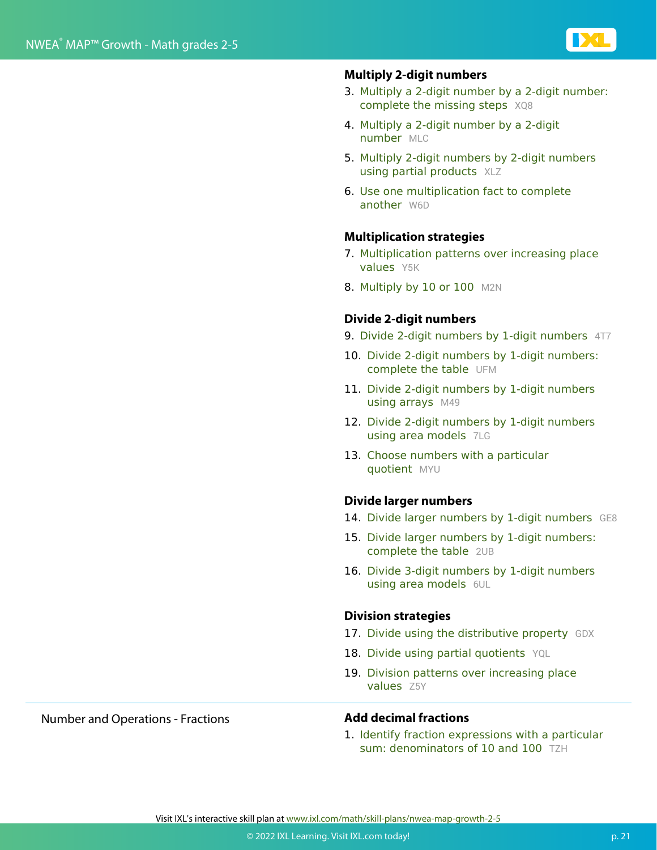

#### **Multiply 2-digit numbers**

- 3. Multiply a 2-digit number by a 2-digit number: complete the missing steps XQ8
- 4. Multiply a 2-digit number by a 2-digit number MLC
- 5. Multiply 2-digit numbers by 2-digit numbers using partial products XLZ
- 6. Use one multiplication fact to complete another W6D

#### **Multiplication strategies**

- 7. Multiplication patterns over increasing place values Y5K
- 8. Multiply by 10 or 100 M2N

#### **Divide 2-digit numbers**

- 9. Divide 2-digit numbers by 1-digit numbers 4T7
- 10. Divide 2-digit numbers by 1-digit numbers: complete the table UFM
- 11. Divide 2-digit numbers by 1-digit numbers using arrays M49
- 12. Divide 2-digit numbers by 1-digit numbers using area models 7LG
- 13. Choose numbers with a particular quotient MYU

#### **Divide larger numbers**

- 14. Divide larger numbers by 1-digit numbers GE8
- 15. Divide larger numbers by 1-digit numbers: complete the table 2UB
- 16. Divide 3-digit numbers by 1-digit numbers using area models 6UL

#### **Division strategies**

- 17. Divide using the distributive property GDX
- 18. Divide using partial quotients YQL
- 19. Division patterns over increasing place values Z<sub>5Y</sub>

#### Number and Operations - Fractions **Add decimal fractions**

1. Identify fraction expressions with a particular sum: denominators of 10 and 100 TZH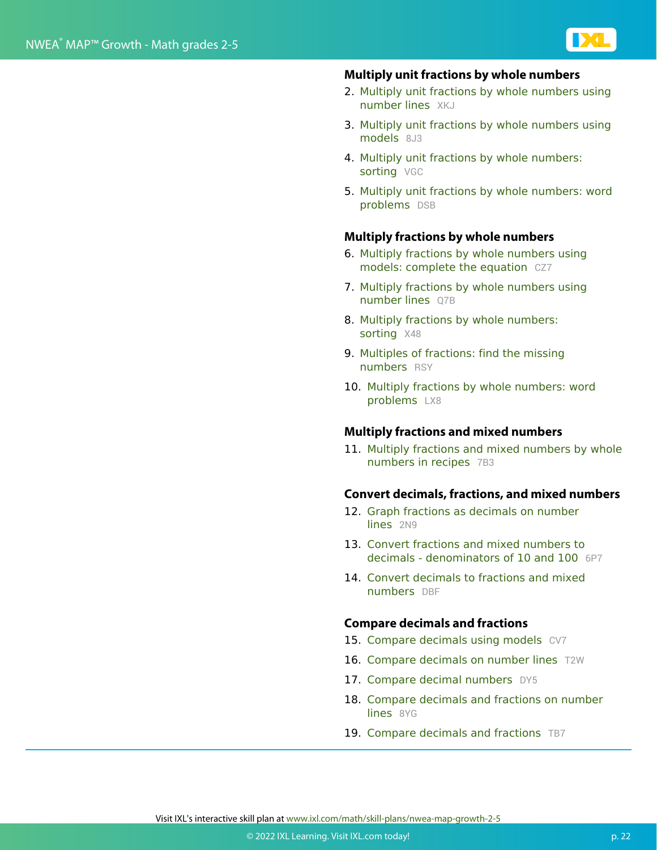

#### **Multiply unit fractions by whole numbers**

- 2. Multiply unit fractions by whole numbers using number lines XKJ
- 3. Multiply unit fractions by whole numbers using models 8J3
- 4. Multiply unit fractions by whole numbers: sorting VGC
- 5. Multiply unit fractions by whole numbers: word problems DSB

#### **Multiply fractions by whole numbers**

- 6. Multiply fractions by whole numbers using models: complete the equation CZ7
- 7. Multiply fractions by whole numbers using number lines Q7B
- 8. Multiply fractions by whole numbers: sorting X48
- 9. Multiples of fractions: find the missing numbers RSY
- 10. Multiply fractions by whole numbers: word problems LX8

#### **Multiply fractions and mixed numbers**

11. Multiply fractions and mixed numbers by whole numbers in recipes 7B3

#### **Convert decimals, fractions, and mixed numbers**

- 12. Graph fractions as decimals on number lines 2N9
- 13. Convert fractions and mixed numbers to decimals - denominators of 10 and 100 6P7
- 14. Convert decimals to fractions and mixed numbers DBF

#### **Compare decimals and fractions**

- 15. Compare decimals using models CV7
- 16. Compare decimals on number lines T2W
- 17. Compare decimal numbers DY5
- 18. Compare decimals and fractions on number lines 8YG
- 19. Compare decimals and fractions TB7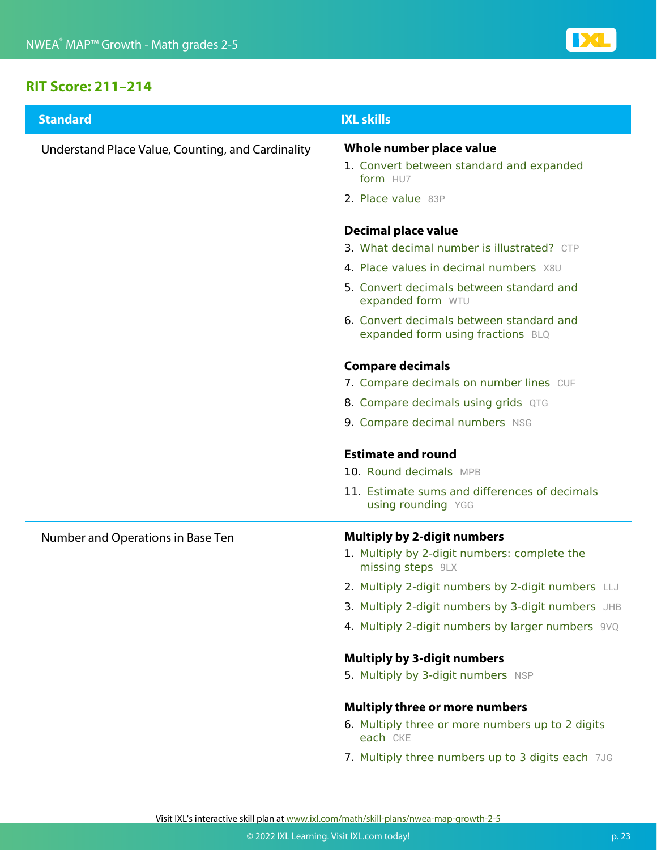

#### **RIT Score: 211–214**

| <b>Standard</b>                                   | <b>IXL skills</b>                                                                                       |
|---------------------------------------------------|---------------------------------------------------------------------------------------------------------|
| Understand Place Value, Counting, and Cardinality | Whole number place value<br>1. Convert between standard and expanded<br>form HU7                        |
|                                                   | 2. Place value 83P                                                                                      |
|                                                   | Decimal place value<br>3. What decimal number is illustrated? CTP                                       |
|                                                   | 4. Place values in decimal numbers X8U                                                                  |
|                                                   | 5. Convert decimals between standard and<br>expanded form WTU                                           |
|                                                   | 6. Convert decimals between standard and<br>expanded form using fractions BLQ                           |
|                                                   | <b>Compare decimals</b>                                                                                 |
|                                                   | 7. Compare decimals on number lines CUF                                                                 |
|                                                   | 8. Compare decimals using grids QTG                                                                     |
|                                                   | 9. Compare decimal numbers NSG                                                                          |
|                                                   | <b>Estimate and round</b><br>10. Round decimals MPB                                                     |
|                                                   | 11. Estimate sums and differences of decimals<br>using rounding YGG                                     |
| Number and Operations in Base Ten                 | <b>Multiply by 2-digit numbers</b><br>1. Multiply by 2-digit numbers: complete the<br>missing steps 9LX |
|                                                   | 2. Multiply 2-digit numbers by 2-digit numbers LLJ                                                      |
|                                                   | 3. Multiply 2-digit numbers by 3-digit numbers JHB                                                      |
|                                                   | 4. Multiply 2-digit numbers by larger numbers 9VQ                                                       |
|                                                   | <b>Multiply by 3-digit numbers</b>                                                                      |
|                                                   | 5. Multiply by 3-digit numbers NSP                                                                      |
|                                                   | <b>Multiply three or more numbers</b>                                                                   |
|                                                   | 6. Multiply three or more numbers up to 2 digits<br>each CKE                                            |
|                                                   | 7. Multiply three numbers up to 3 digits each 7JG                                                       |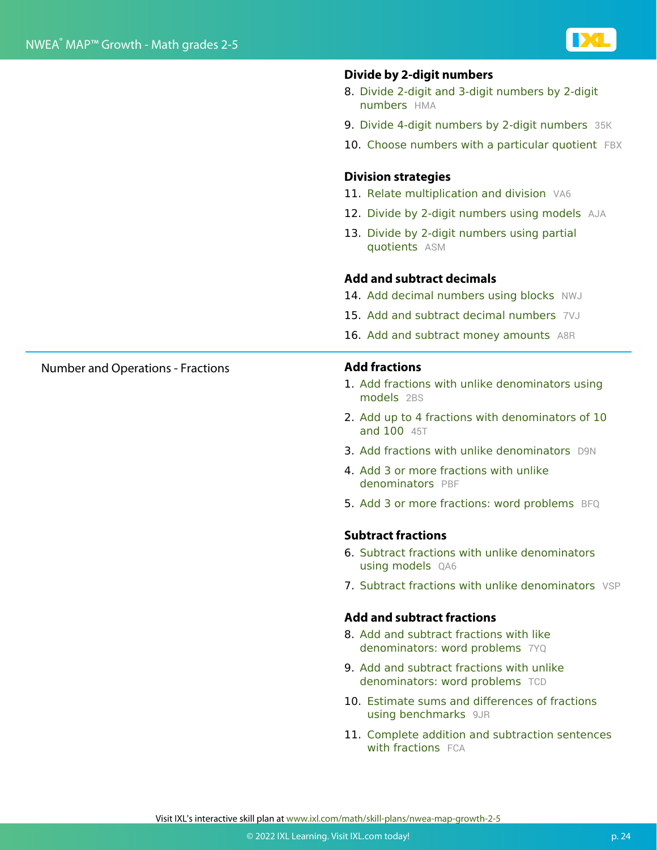

#### **Divide by 2-digit numbers**

- 8. Divide 2-digit and 3-digit numbers by 2-digit numbers HMA
- 9. Divide 4-digit numbers by 2-digit numbers 35K
- 10. Choose numbers with a particular quotient FBX

#### **Division strategies**

- 11. Relate multiplication and division VA6
- 12. Divide by 2-digit numbers using models AJA
- 13. Divide by 2-digit numbers using partial quotients ASM

#### **Add and subtract decimals**

- 14. Add decimal numbers using blocks NWJ
- 15. Add and subtract decimal numbers 7VJ
- 16. Add and subtract money amounts A8R

- 1. Add fractions with unlike denominators using models 2BS
- 2. Add up to 4 fractions with denominators of 10 and 100 45T
- 3. Add fractions with unlike denominators D9N
- 4. Add 3 or more fractions with unlike denominators PBF
- 5. Add 3 or more fractions: word problems BFQ

#### **Subtract fractions**

- 6. Subtract fractions with unlike denominators using models QA6
- 7. Subtract fractions with unlike denominators VSP

#### **Add and subtract fractions**

- 8. Add and subtract fractions with like denominators: word problems 7YQ
- 9. Add and subtract fractions with unlike denominators: word problems TCD
- 10. Estimate sums and differences of fractions using benchmarks 9JR
- 11. Complete addition and subtraction sentences with fractions FCA

Number and Operations - Fractions **Add fractions**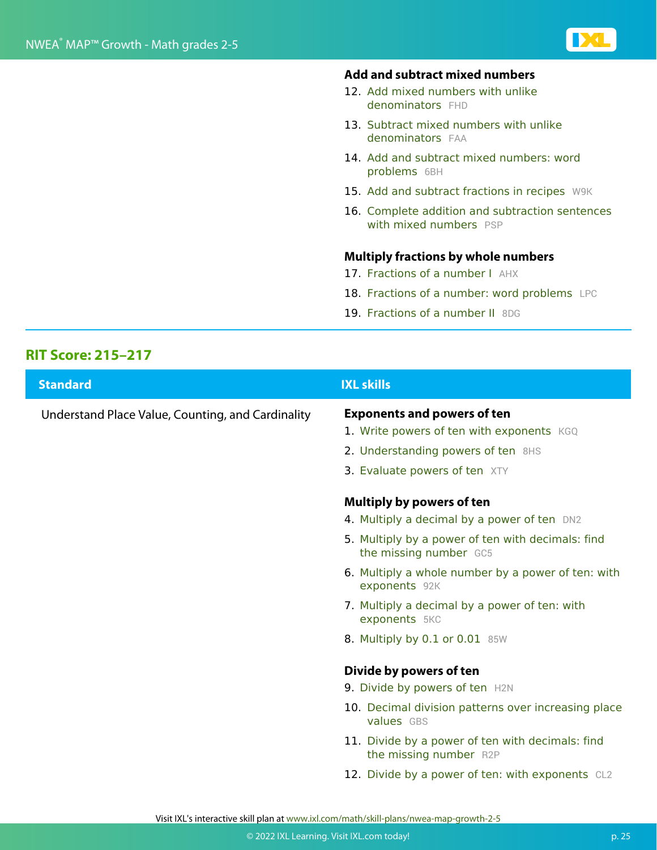#### **Add and subtract mixed numbers**

- 12. Add mixed numbers with unlike denominators FHD
- 13. Subtract mixed numbers with unlike denominators FAA
- 14. Add and subtract mixed numbers: word problems 6BH
- 15. Add and subtract fractions in recipes W9K
- 16. Complete addition and subtraction sentences with mixed numbers PSP

#### **Multiply fractions by whole numbers**

- 17. Fractions of a number I AHX
- 18. Fractions of a number: word problems LPC
- 19. Fractions of a number II 8DG

#### **RIT Score: 215–217**

| <b>Standard</b>                                   | <b>IXL skills</b>                                                                                                                                                                                            |
|---------------------------------------------------|--------------------------------------------------------------------------------------------------------------------------------------------------------------------------------------------------------------|
| Understand Place Value, Counting, and Cardinality | <b>Exponents and powers of ten</b><br>1. Write powers of ten with exponents KGQ<br>2. Understanding powers of ten 8HS<br>3. Evaluate powers of ten XTY                                                       |
|                                                   | <b>Multiply by powers of ten</b><br>4. Multiply a decimal by a power of ten DN2<br>5. Multiply by a power of ten with decimals: find<br>the missing number GC5                                               |
|                                                   | 6. Multiply a whole number by a power of ten: with<br>exponents 92K                                                                                                                                          |
|                                                   | 7. Multiply a decimal by a power of ten: with<br>exponents 5KC                                                                                                                                               |
|                                                   | 8. Multiply by 0.1 or 0.01 85W                                                                                                                                                                               |
|                                                   | Divide by powers of ten<br>9. Divide by powers of ten H2N<br>10. Decimal division patterns over increasing place<br>values GBS<br>11. Divide by a power of ten with decimals: find<br>the missing number R2P |
|                                                   | 12. Divide by a power of ten: with exponents CL2                                                                                                                                                             |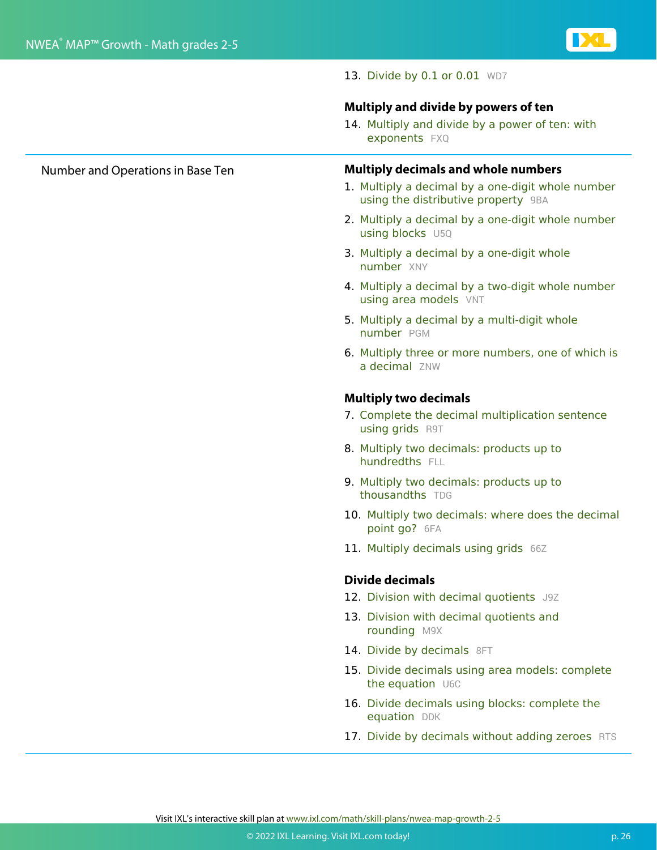

13. Divide by 0.1 or 0.01 WD7

#### **Multiply and divide by powers of ten**

14. Multiply and divide by a power of ten: with exponents FXQ

#### Number and Operations in Base Ten **Multiply decimals and whole numbers**

- 1. Multiply a decimal by a one-digit whole number using the distributive property 9BA
- 2. Multiply a decimal by a one-digit whole number using blocks U5Q
- 3. Multiply a decimal by a one-digit whole number XNY
- 4. Multiply a decimal by a two-digit whole number using area models VNT
- 5. Multiply a decimal by a multi-digit whole number PGM
- 6. Multiply three or more numbers, one of which is a decimal ZNW

#### **Multiply two decimals**

- 7. Complete the decimal multiplication sentence using grids R9T
- 8. Multiply two decimals: products up to hundredths FLL
- 9. Multiply two decimals: products up to thousandths TDG
- 10. Multiply two decimals: where does the decimal point go? 6FA
- 11. Multiply decimals using grids 66Z

#### **Divide decimals**

- 12. Division with decimal quotients J9Z
- 13. Division with decimal quotients and rounding M9X
- 14. Divide by decimals 8FT
- 15. Divide decimals using area models: complete the equation U6C
- 16. Divide decimals using blocks: complete the equation DDK
- 17. Divide by decimals without adding zeroes RTS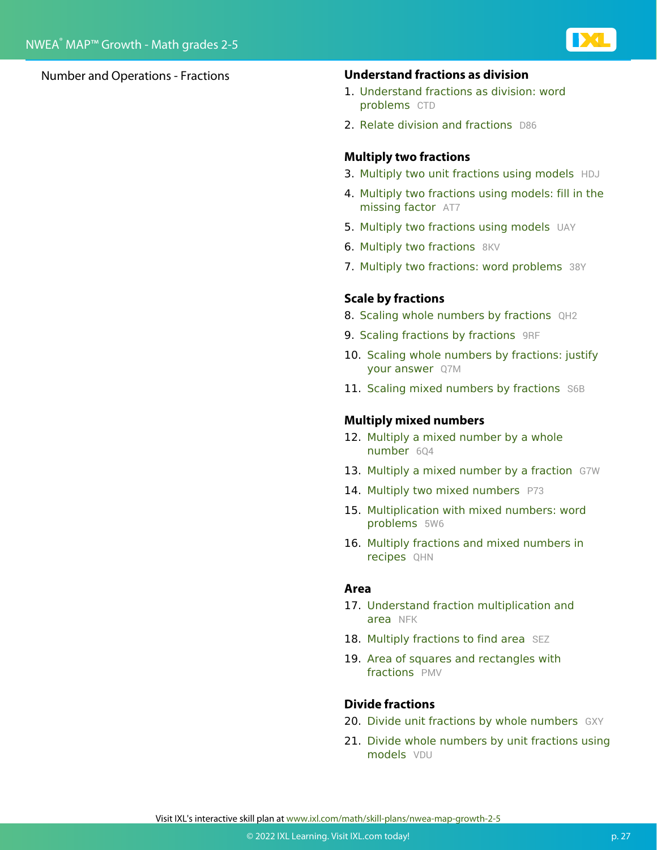

#### Number and Operations - Fractions **Understand fractions as division**

- 1. Understand fractions as division: word problems CTD
- 2. Relate division and fractions D86

#### **Multiply two fractions**

- 3. Multiply two unit fractions using models HDJ
- 4. Multiply two fractions using models: fill in the missing factor AT7
- 5. Multiply two fractions using models UAY
- 6. Multiply two fractions 8KV
- 7. Multiply two fractions: word problems 38Y

#### **Scale by fractions**

- 8. Scaling whole numbers by fractions QH2
- 9. Scaling fractions by fractions 9RF
- 10. Scaling whole numbers by fractions: justify your answer Q7M
- 11. Scaling mixed numbers by fractions S6B

#### **Multiply mixed numbers**

- 12. Multiply a mixed number by a whole number 604
- 13. Multiply a mixed number by a fraction G7W
- 14. Multiply two mixed numbers P73
- 15. Multiplication with mixed numbers: word problems 5W6
- 16. Multiply fractions and mixed numbers in recipes QHN

#### **Area**

- 17. Understand fraction multiplication and area NFK
- 18. Multiply fractions to find area SEZ
- 19. Area of squares and rectangles with fractions PMV

#### **Divide fractions**

- 20. Divide unit fractions by whole numbers GXY
- 21. Divide whole numbers by unit fractions using models VDU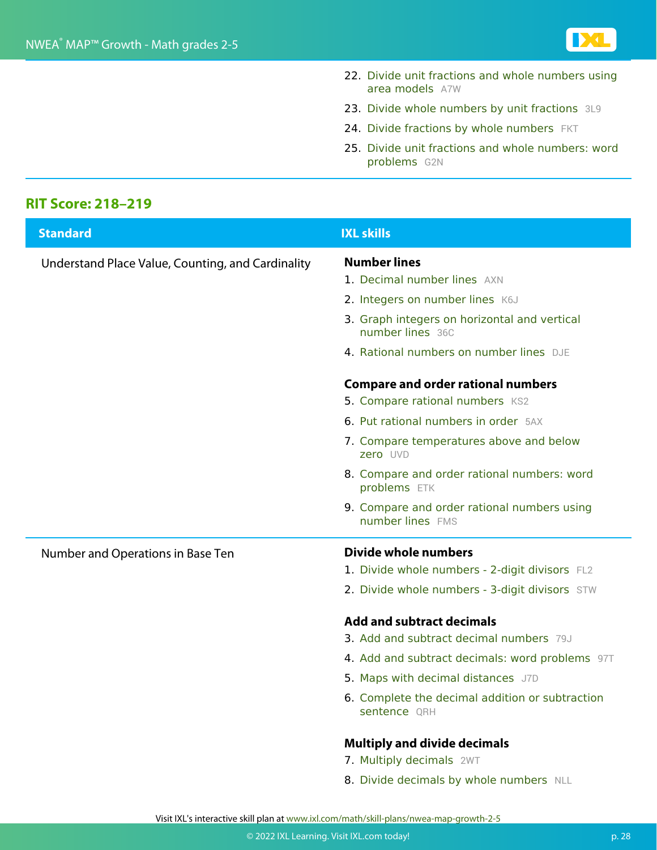

- 22. Divide unit fractions and whole numbers using area models A7W
- 23. Divide whole numbers by unit fractions 3L9
- 24. Divide fractions by whole numbers FKT
- 25. Divide unit fractions and whole numbers: word problems G2N

#### **RIT Score: 218–219**

| <b>Standard</b>                                   | <b>IXL skills</b>                                                                                                    |
|---------------------------------------------------|----------------------------------------------------------------------------------------------------------------------|
| Understand Place Value, Counting, and Cardinality | <b>Number lines</b><br>1. Decimal number lines AXN                                                                   |
|                                                   | 2. Integers on number lines K6J                                                                                      |
|                                                   | 3. Graph integers on horizontal and vertical<br>number lines 36C                                                     |
|                                                   | 4. Rational numbers on number lines DJE                                                                              |
|                                                   | <b>Compare and order rational numbers</b><br>5. Compare rational numbers KS2<br>6. Put rational numbers in order 5AX |
|                                                   | 7. Compare temperatures above and below<br>zero UVD                                                                  |
|                                                   | 8. Compare and order rational numbers: word<br>problems ETK                                                          |
|                                                   | 9. Compare and order rational numbers using<br>number lines FMS                                                      |
| Number and Operations in Base Ten                 | Divide whole numbers                                                                                                 |
|                                                   | 1. Divide whole numbers - 2-digit divisors FL2                                                                       |
|                                                   | 2. Divide whole numbers - 3-digit divisors STW                                                                       |
|                                                   | <b>Add and subtract decimals</b>                                                                                     |
|                                                   | <b>3. Add and subtract decimal numbers</b> 79J                                                                       |
|                                                   | 4. Add and subtract decimals: word problems 97T                                                                      |
|                                                   | 5. Maps with decimal distances J7D                                                                                   |
|                                                   | 6. Complete the decimal addition or subtraction<br>sentence QRH                                                      |
|                                                   | <b>Multiply and divide decimals</b>                                                                                  |
|                                                   | 7. Multiply decimals 2WT                                                                                             |
|                                                   | 8. Divide decimals by whole numbers NLL                                                                              |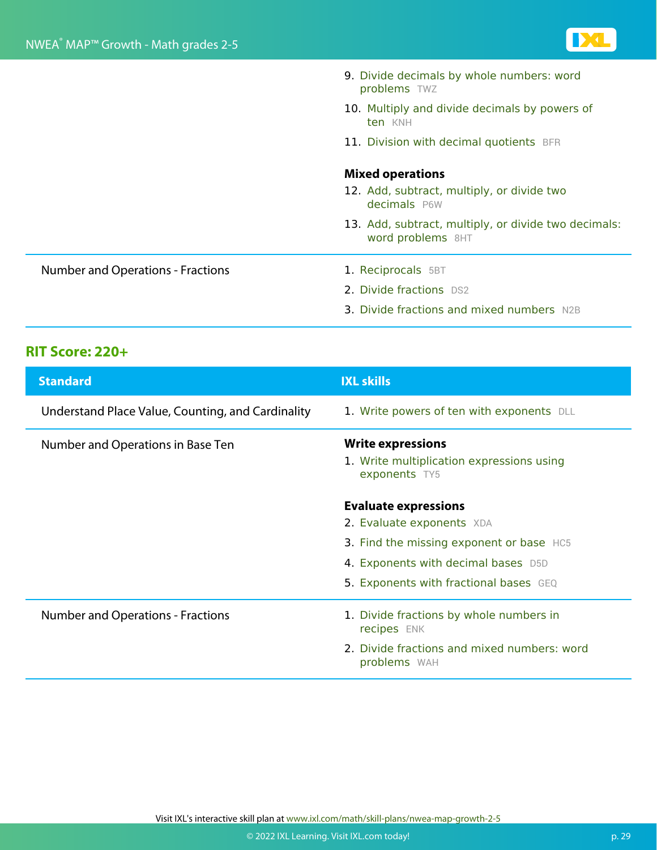

|                                          | 9. Divide decimals by whole numbers: word<br>problems TWZ                        |
|------------------------------------------|----------------------------------------------------------------------------------|
|                                          | 10. Multiply and divide decimals by powers of<br>ten KNH                         |
|                                          | 11. Division with decimal quotients BFR                                          |
|                                          | <b>Mixed operations</b>                                                          |
|                                          | 12. Add, subtract, multiply, or divide two<br>decimals P6W                       |
|                                          | 13. Add, subtract, multiply, or divide two decimals:<br><b>word problems</b> 8HT |
| <b>Number and Operations - Fractions</b> | 1. Reciprocals 5BT                                                               |
|                                          | 2. Divide fractions DS2                                                          |
|                                          | <b>3. Divide fractions and mixed numbers</b> N2B                                 |

### **RIT Score: 220+**

| <b>Standard</b>                                   | <b>IXL skills</b>                                                                                                                                                                     |
|---------------------------------------------------|---------------------------------------------------------------------------------------------------------------------------------------------------------------------------------------|
| Understand Place Value, Counting, and Cardinality | 1. Write powers of ten with exponents DLL                                                                                                                                             |
| Number and Operations in Base Ten                 | <b>Write expressions</b><br>1. Write multiplication expressions using<br>exponents TY5                                                                                                |
|                                                   | <b>Evaluate expressions</b><br>2. Evaluate exponents XDA<br>3. Find the missing exponent or base HC5<br>4. Exponents with decimal bases D5D<br>5. Exponents with fractional bases GEQ |
| <b>Number and Operations - Fractions</b>          | 1. Divide fractions by whole numbers in<br>recipes ENK<br>2. Divide fractions and mixed numbers: word<br>problems WAH                                                                 |

Visit IXL's interactive skill plan at www.ixl.com/math/skill-plans/nwea-map-growth-2-5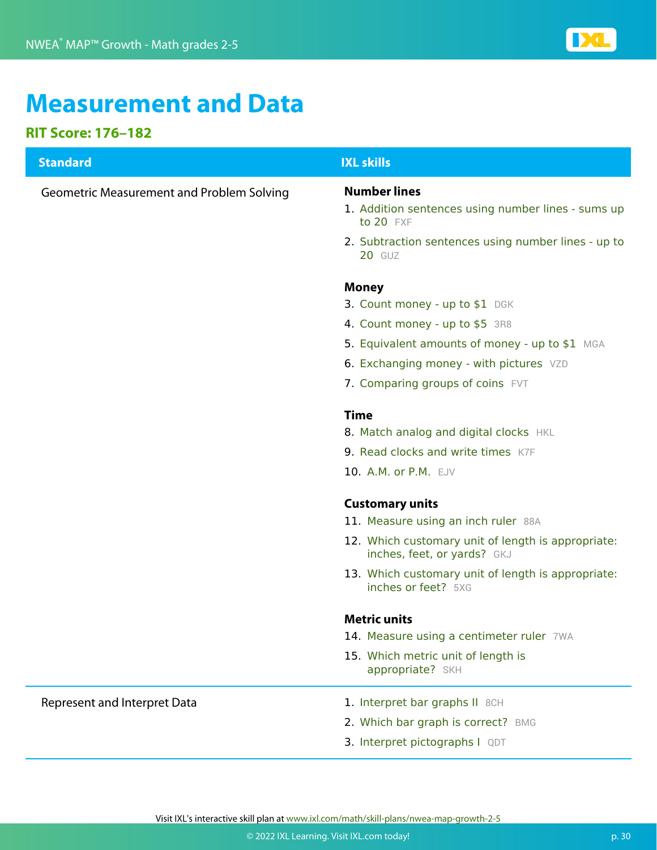

## **Measurement and Data**

#### **RIT Score: 176–182**

## **Standard IXL skills** Geometric Measurement and Problem Solving **Number lines** 1. Addition sentences using number lines - sums up to 20 FXF 2. Subtraction sentences using number lines - up to 20 GUZ **Money** 3. Count money - up to \$1 DGK 4. Count money - up to \$5 3R8 5. Equivalent amounts of money - up to \$1 MGA 6. Exchanging money - with pictures VZD 7. Comparing groups of coins FVT **Time** 8. Match analog and digital clocks HKL 9. Read clocks and write times K7F 10. A.M. or P.M. EJV **Customary units** 11. Measure using an inch ruler 88A 12. Which customary unit of length is appropriate: inches, feet, or yards? GKJ 13. Which customary unit of length is appropriate: inches or feet? 5XG **Metric units** 14. Measure using a centimeter ruler 7WA 15. Which metric unit of length is appropriate? SKH Represent and Interpret Data 1. Interpret bar graphs II 8CH 2. Which bar graph is correct? BMG 3. Interpret pictographs I QDT Visit IXL's interactive skill plan at www.ixl.com/math/skill-plans/nwea-map-growth-2-5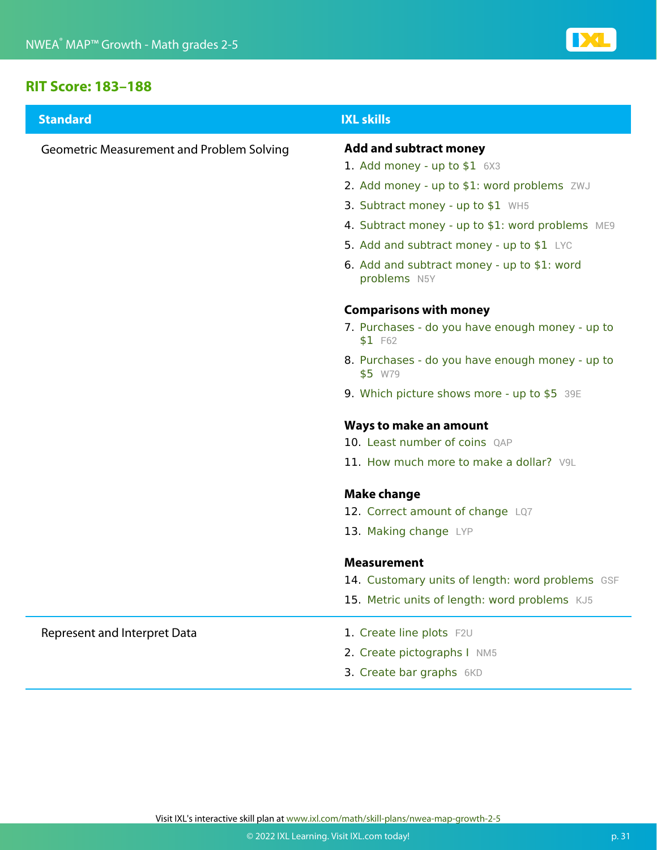

#### **RIT Score: 183–188**

| <b>Standard</b>                                  | <b>IXL skills</b>                                           |
|--------------------------------------------------|-------------------------------------------------------------|
| <b>Geometric Measurement and Problem Solving</b> | <b>Add and subtract money</b>                               |
|                                                  | 1. Add money - up to $$1$ $6X3$                             |
|                                                  | 2. Add money - up to \$1: word problems ZWJ                 |
|                                                  | 3. Subtract money - up to \$1 WH5                           |
|                                                  | 4. Subtract money - up to \$1: word problems ME9            |
|                                                  | 5. Add and subtract money - up to \$1 LYC                   |
|                                                  | 6. Add and subtract money - up to \$1: word<br>problems N5Y |
|                                                  | <b>Comparisons with money</b>                               |
|                                                  | 7. Purchases - do you have enough money - up to<br>\$1 F62  |
|                                                  | 8. Purchases - do you have enough money - up to<br>\$5 W79  |
|                                                  | 9. Which picture shows more - up to \$5 39E                 |
|                                                  | <b>Ways to make an amount</b>                               |
|                                                  | 10. Least number of coins QAP                               |
|                                                  | 11. How much more to make a dollar? V9L                     |
|                                                  | <b>Make change</b>                                          |
|                                                  | 12. Correct amount of change LQ7                            |
|                                                  | 13. Making change LYP                                       |
|                                                  | <b>Measurement</b>                                          |
|                                                  | 14. Customary units of length: word problems GSF            |
|                                                  | 15. Metric units of length: word problems KJ5               |
| Represent and Interpret Data                     | 1. Create line plots F2U                                    |
|                                                  | 2. Create pictographs I NM5                                 |
|                                                  | 3. Create bar graphs 6KD                                    |
|                                                  |                                                             |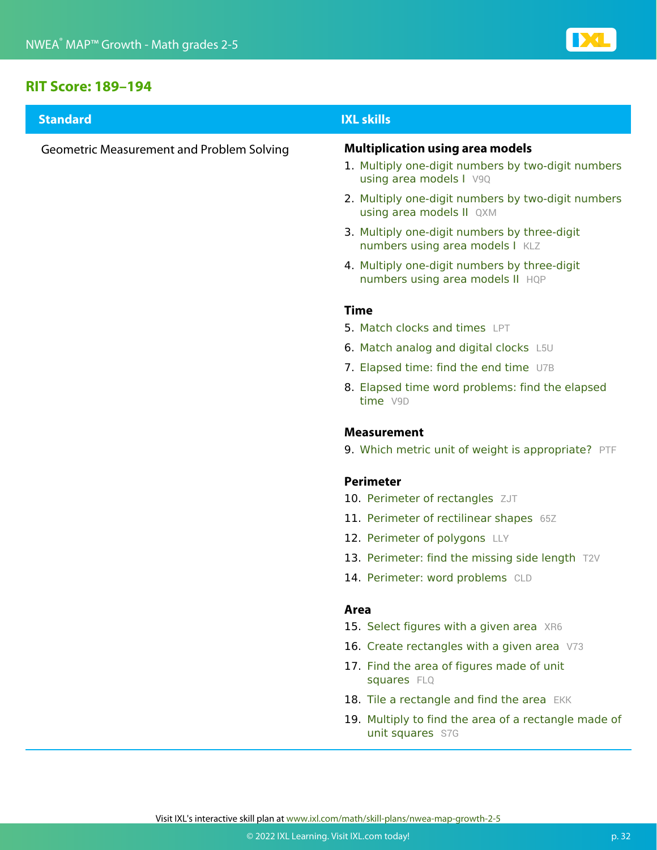

#### **RIT Score: 189–194**

| <b>Standard</b>                                  | <b>IXL skills</b>                                                                |
|--------------------------------------------------|----------------------------------------------------------------------------------|
| <b>Geometric Measurement and Problem Solving</b> | <b>Multiplication using area models</b>                                          |
|                                                  | 1. Multiply one-digit numbers by two-digit numbers<br>using area models I V9Q    |
|                                                  | 2. Multiply one-digit numbers by two-digit numbers<br>using area models II QXM   |
|                                                  | 3. Multiply one-digit numbers by three-digit<br>numbers using area models I KLZ  |
|                                                  | 4. Multiply one-digit numbers by three-digit<br>numbers using area models II HQP |
|                                                  | <b>Time</b>                                                                      |
|                                                  | 5. Match clocks and times LPT                                                    |
|                                                  | 6. Match analog and digital clocks L5U                                           |
|                                                  | 7. Elapsed time: find the end time U7B                                           |
|                                                  | 8. Elapsed time word problems: find the elapsed<br>time V9D                      |
|                                                  | <b>Measurement</b>                                                               |
|                                                  | 9. Which metric unit of weight is appropriate? PTF                               |
|                                                  | <b>Perimeter</b>                                                                 |
|                                                  | 10. Perimeter of rectangles ZJT                                                  |
|                                                  | 11. Perimeter of rectilinear shapes 65Z                                          |
|                                                  | 12. Perimeter of polygons LLY                                                    |
|                                                  | 13. Perimeter: find the missing side length T2V                                  |
|                                                  | 14. Perimeter: word problems CLD                                                 |
|                                                  | Area                                                                             |
|                                                  | 15. Select figures with a given area XR6                                         |
|                                                  | 16. Create rectangles with a given area V73                                      |
|                                                  | 17. Find the area of figures made of unit<br>squares FLQ                         |
|                                                  | 18. Tile a rectangle and find the area EKK                                       |
|                                                  | 19. Multiply to find the area of a rectangle made of<br>unit squares S7G         |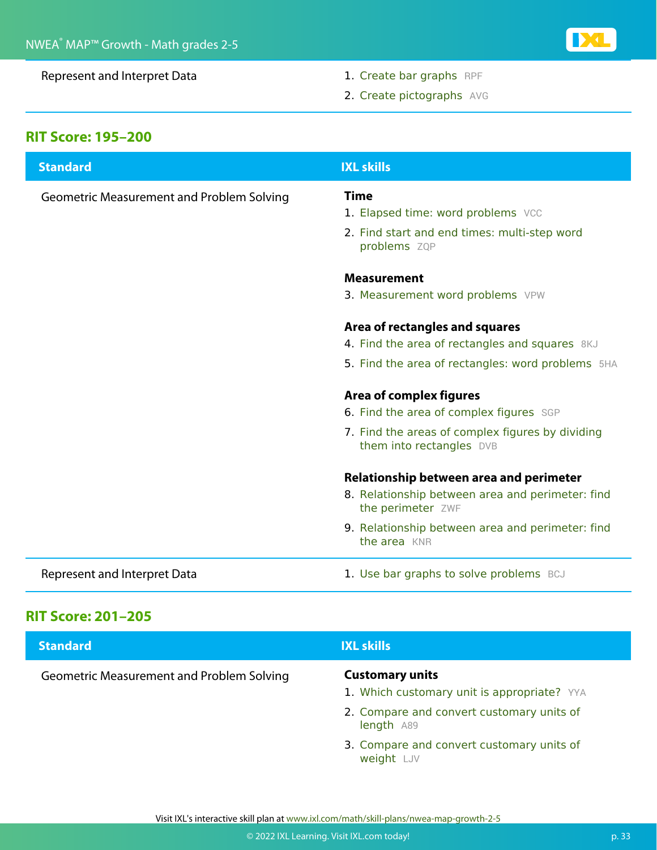Represent and Interpret Data 1. Create bar graphs RPF

DC

2. Create pictographs AVG

### **RIT Score: 195–200**

| <b>Standard</b>                                  | <b>IXL skills</b>                                                            |
|--------------------------------------------------|------------------------------------------------------------------------------|
| <b>Geometric Measurement and Problem Solving</b> | <b>Time</b>                                                                  |
|                                                  | 1. Elapsed time: word problems VCC                                           |
|                                                  | 2. Find start and end times: multi-step word<br>problems ZQP                 |
|                                                  | <b>Measurement</b>                                                           |
|                                                  | 3. Measurement word problems VPW                                             |
|                                                  | Area of rectangles and squares                                               |
|                                                  | 4. Find the area of rectangles and squares 8KJ                               |
|                                                  | 5. Find the area of rectangles: word problems 5HA                            |
|                                                  | Area of complex figures                                                      |
|                                                  | 6. Find the area of complex figures SGP                                      |
|                                                  | 7. Find the areas of complex figures by dividing<br>them into rectangles DVB |
|                                                  | Relationship between area and perimeter                                      |
|                                                  | 8. Relationship between area and perimeter: find<br>the perimeter ZWF        |
|                                                  | 9. Relationship between area and perimeter: find<br>the area KNR             |
| Represent and Interpret Data                     | 1. Use bar graphs to solve problems BCJ                                      |

### **RIT Score: 201–205**

| <b>Standard</b>                                  | <b>IXL skills</b>                                                     |
|--------------------------------------------------|-----------------------------------------------------------------------|
| <b>Geometric Measurement and Problem Solving</b> | <b>Customary units</b><br>1. Which customary unit is appropriate? YYA |
|                                                  | 2. Compare and convert customary units of<br>length A89               |
|                                                  | 3. Compare and convert customary units of<br>weight LJV               |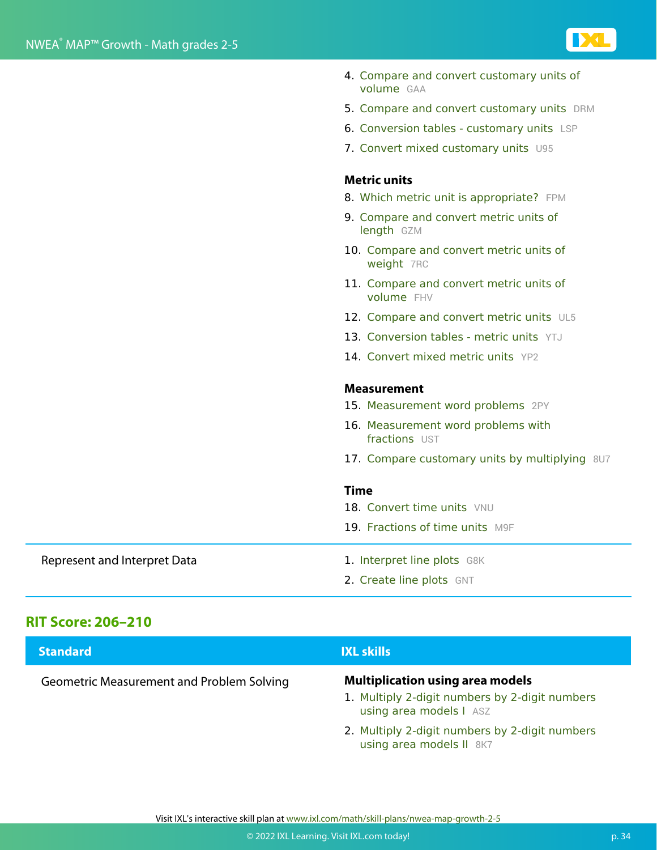

- 4. Compare and convert customary units of volume GAA
- 5. Compare and convert customary units DRM
- 6. Conversion tables customary units LSP
- 7. Convert mixed customary units U95

#### **Metric units**

- 8. Which metric unit is appropriate? FPM
- 9. Compare and convert metric units of length GZM
- 10. Compare and convert metric units of weight 7RC
- 11. Compare and convert metric units of volume FHV
- 12. Compare and convert metric units UL5
- 13. Conversion tables metric units YTJ
- 14. Convert mixed metric units YP2

#### **Measurement**

- 15. Measurement word problems 2PY
- 16. Measurement word problems with fractions UST
- 17. Compare customary units by multiplying 8U7

#### **Time**

- 18. Convert time units VNU
- 19. Fractions of time units M9F

#### Represent and Interpret Data 1. Interpret line plots G8K

- 
- 2. Create line plots GNT

#### **RIT Score: 206–210**

| <b>Standard</b>                           | <b>IXL skills</b>                                                                                                    |
|-------------------------------------------|----------------------------------------------------------------------------------------------------------------------|
| Geometric Measurement and Problem Solving | <b>Multiplication using area models</b><br>1. Multiply 2-digit numbers by 2-digit numbers<br>using area models I ASZ |
|                                           | 2. Multiply 2-digit numbers by 2-digit numbers<br>using area models II 8K7                                           |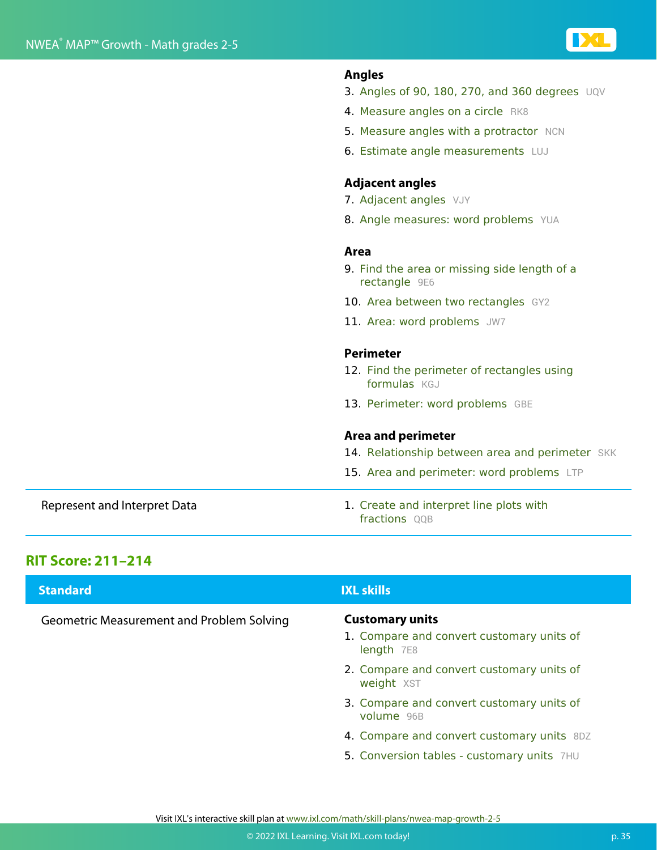

#### **Angles**

- 3. Angles of 90, 180, 270, and 360 degrees UQV
- 4. Measure angles on a circle RK8
- 5. Measure angles with a protractor NCN
- 6. Estimate angle measurements LUJ

#### **Adjacent angles**

- 7. Adjacent angles VJY
- 8. Angle measures: word problems YUA

#### **Area**

- 9. Find the area or missing side length of a rectangle 9E6
- 10. Area between two rectangles GY2
- 11. Area: word problems JW7

#### **Perimeter**

- 12. Find the perimeter of rectangles using formulas **KGJ**
- 13. Perimeter: word problems GBE

#### **Area and perimeter**

- 14. Relationship between area and perimeter SKK
- 15. Area and perimeter: word problems LTP
- Represent and Interpret Data 1. Create and interpret line plots with fractions OOB

#### **RIT Score: 211–214**

| <b>Standard</b>                           | <b>IXL skills</b>                                                                 |
|-------------------------------------------|-----------------------------------------------------------------------------------|
| Geometric Measurement and Problem Solving | <b>Customary units</b><br>1. Compare and convert customary units of<br>length 7E8 |
|                                           | 2. Compare and convert customary units of<br>weight XST                           |
|                                           | 3. Compare and convert customary units of<br>volume 96B                           |
|                                           | 4. Compare and convert customary units 8DZ                                        |
|                                           | 5. Conversion tables - customary units 7HU                                        |

Visit IXL's interactive skill plan at www.ixl.com/math/skill-plans/nwea-map-growth-2-5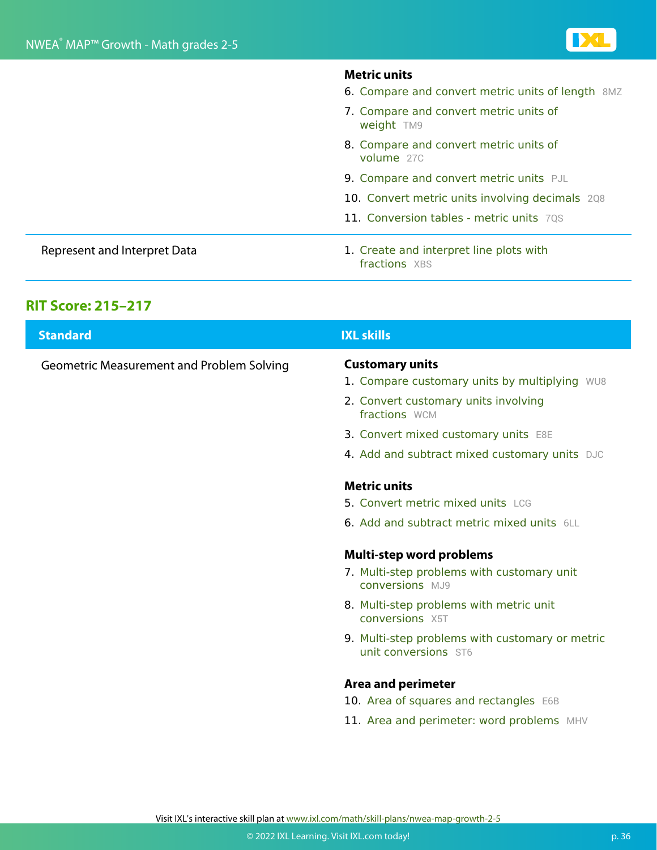|                              | <b>Metric units</b><br>6. Compare and convert metric units of length 8MZ |
|------------------------------|--------------------------------------------------------------------------|
|                              | 7. Compare and convert metric units of<br>weight TM9                     |
|                              | 8. Compare and convert metric units of<br>volume 27C                     |
|                              | 9. Compare and convert metric units PJL                                  |
|                              | 10. Convert metric units involving decimals 208                          |
|                              | 11. Conversion tables - metric units 70S                                 |
| Represent and Interpret Data | 1. Create and interpret line plots with<br><b>fractions</b> XBS          |

### **RIT Score: 215–217**

| <b>Standard</b>                                  | <b>IXL skills</b>                                                       |
|--------------------------------------------------|-------------------------------------------------------------------------|
| <b>Geometric Measurement and Problem Solving</b> | <b>Customary units</b><br>1. Compare customary units by multiplying WU8 |
|                                                  | 2. Convert customary units involving<br>fractions WCM                   |
|                                                  | 3. Convert mixed customary units E8E                                    |
|                                                  | 4. Add and subtract mixed customary units DJC                           |
|                                                  | <b>Metric units</b>                                                     |
|                                                  | 5. Convert metric mixed units LCG                                       |
|                                                  | <b>6. Add and subtract metric mixed units</b> 6LL                       |
|                                                  | <b>Multi-step word problems</b>                                         |
|                                                  | 7. Multi-step problems with customary unit<br><b>conversions</b> MJ9    |
|                                                  | 8. Multi-step problems with metric unit<br>conversions X5T              |
|                                                  | 9. Multi-step problems with customary or metric<br>unit conversions ST6 |
|                                                  | <b>Area and perimeter</b>                                               |
|                                                  | 10. Area of squares and rectangles E6B                                  |
|                                                  | 11. Area and perimeter: word problems MHV                               |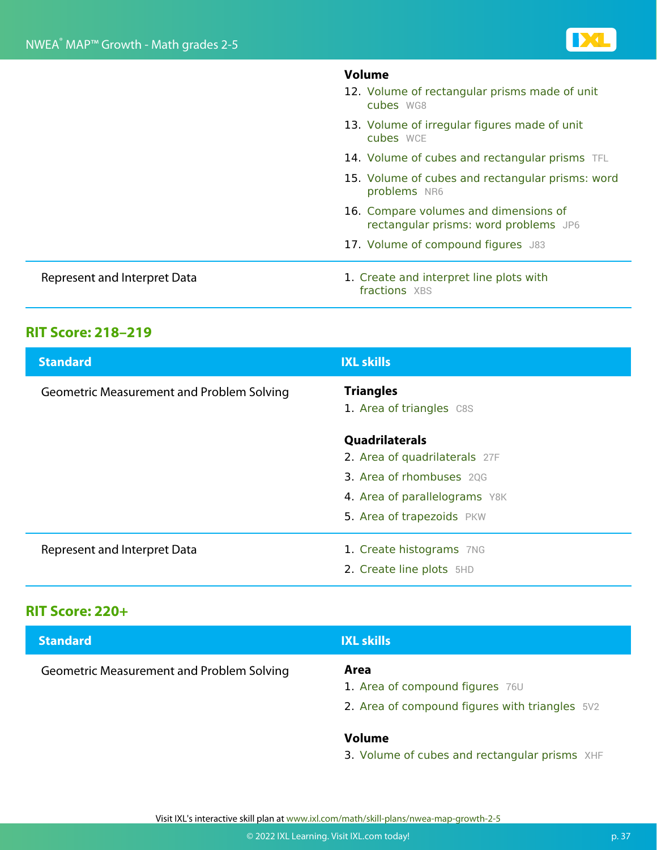|                              | <b>Volume</b><br>12. Volume of rectangular prisms made of unit<br>cubes WG8    |
|------------------------------|--------------------------------------------------------------------------------|
|                              | 13. Volume of irregular figures made of unit<br>cubes WCE                      |
|                              | 14. Volume of cubes and rectangular prisms TFL                                 |
|                              | 15. Volume of cubes and rectangular prisms: word<br>problems NR6               |
|                              | 16. Compare volumes and dimensions of<br>rectangular prisms: word problems JP6 |
|                              | 17. Volume of compound figures J83                                             |
| Represent and Interpret Data | 1. Create and interpret line plots with<br>fractions XBS                       |

### **RIT Score: 218–219**

| <b>Standard</b>                           | <b>IXL skills</b>                               |
|-------------------------------------------|-------------------------------------------------|
| Geometric Measurement and Problem Solving | <b>Triangles</b><br>1. Area of triangles C8S    |
|                                           | Quadrilaterals<br>2. Area of quadrilaterals 27F |
|                                           | 3. Area of rhombuses 20G                        |
|                                           | 4. Area of parallelograms Y8K                   |
|                                           | 5. Area of trapezoids PKW                       |
| Represent and Interpret Data              | 1. Create histograms 7NG                        |
|                                           | 2. Create line plots 5HD                        |

### **RIT Score: 220+**

| <b>Standard</b>                                  | <b>IXL skills</b>                                                                         |
|--------------------------------------------------|-------------------------------------------------------------------------------------------|
| <b>Geometric Measurement and Problem Solving</b> | Area<br>1. Area of compound figures 76U<br>2. Area of compound figures with triangles 5V2 |
|                                                  | Volume                                                                                    |

#### 3. Volume of cubes and rectangular prisms XHF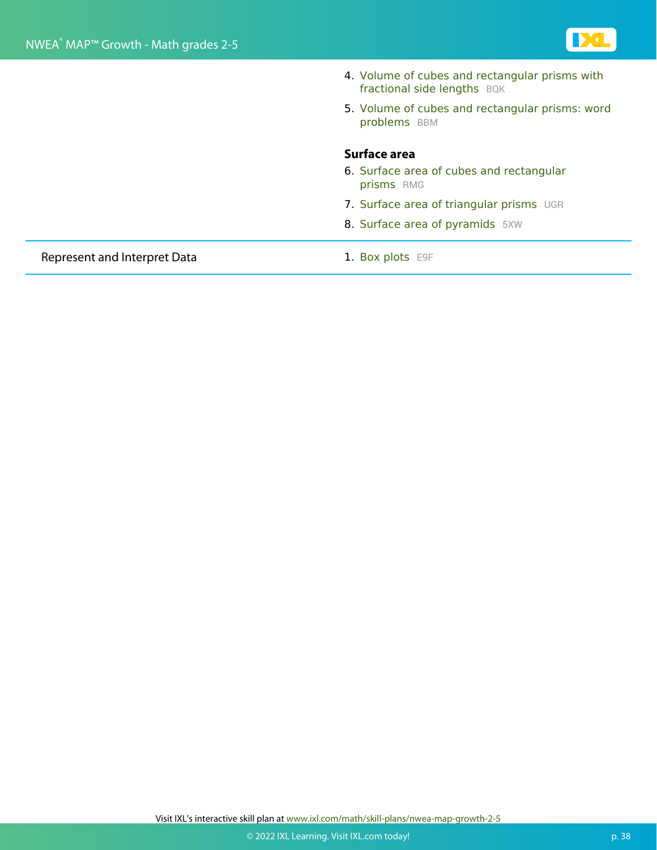

|                              | 4. Volume of cubes and rectangular prisms with<br>fractional side lengths BQK |
|------------------------------|-------------------------------------------------------------------------------|
|                              | 5. Volume of cubes and rectangular prisms: word<br>problems BBM               |
|                              | Surface area                                                                  |
|                              | 6. Surface area of cubes and rectangular<br>prisms RMG                        |
|                              | 7. Surface area of triangular prisms UGR                                      |
|                              | 8. Surface area of pyramids 5XW                                               |
| Represent and Interpret Data | 1. Box plots E9F                                                              |

Visit IXL's interactive skill plan at www.ixl.com/math/skill-plans/nwea-map-growth-2-5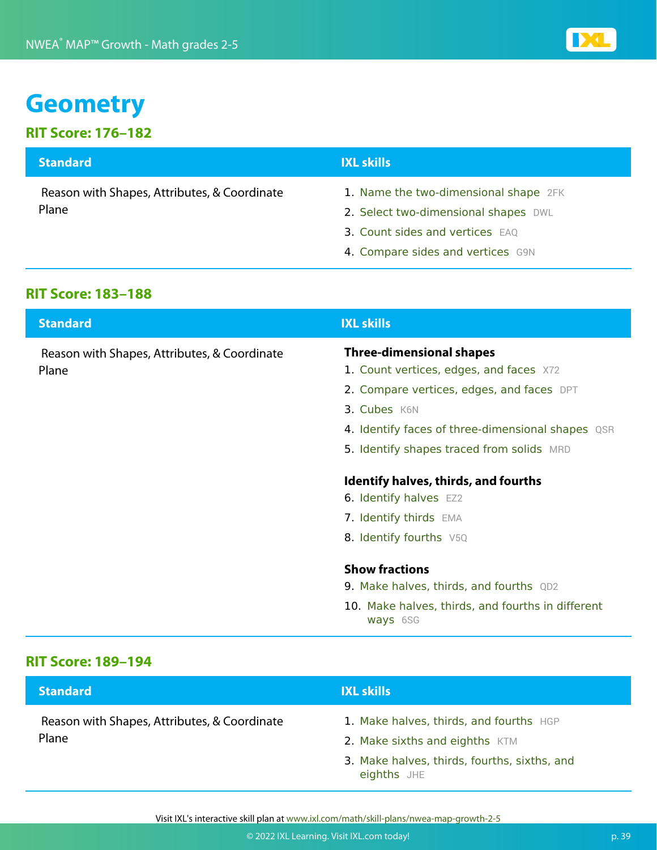## **Geometry**

### **RIT Score: 176–182**

| <b>Standard</b>                              | <b>IXL skills</b>                     |
|----------------------------------------------|---------------------------------------|
| Reason with Shapes, Attributes, & Coordinate | 1. Name the two-dimensional shape 2FK |
| Plane                                        | 2. Select two-dimensional shapes DWL  |
|                                              | 3. Count sides and vertices EAQ       |
|                                              | 4. Compare sides and vertices G9N     |

#### **RIT Score: 183–188**

| <b>Standard</b>                              | <b>IXL skills</b>                                 |
|----------------------------------------------|---------------------------------------------------|
| Reason with Shapes, Attributes, & Coordinate | <b>Three-dimensional shapes</b>                   |
| Plane                                        | 1. Count vertices, edges, and faces X72           |
|                                              | 2. Compare vertices, edges, and faces DPT         |
|                                              | 3. Cubes K6N                                      |
|                                              | 4. Identify faces of three-dimensional shapes QSR |
|                                              | 5. Identify shapes traced from solids MRD         |
|                                              | Identify halves, thirds, and fourths              |
|                                              | 6. Identify halves EZ2                            |
|                                              | 7. Identify thirds EMA                            |
|                                              | 8. Identify fourths V5Q                           |
|                                              | <b>Show fractions</b>                             |
|                                              | <b>9. Make halves, thirds, and fourths</b> QD2    |
|                                              | 10. Make halves, thirds, and fourths in different |

#### **RIT Score: 189–194**

| <b>Standard</b>                                       | <b>IXL skills</b>                                                                                                                        |
|-------------------------------------------------------|------------------------------------------------------------------------------------------------------------------------------------------|
| Reason with Shapes, Attributes, & Coordinate<br>Plane | 1. Make halves, thirds, and fourths HGP<br>2. Make sixths and eighths KTM<br>3. Make halves, thirds, fourths, sixths, and<br>eighths JHE |

ways 6SG

Visit IXL's interactive skill plan at www.ixl.com/math/skill-plans/nwea-map-growth-2-5

**IDEL**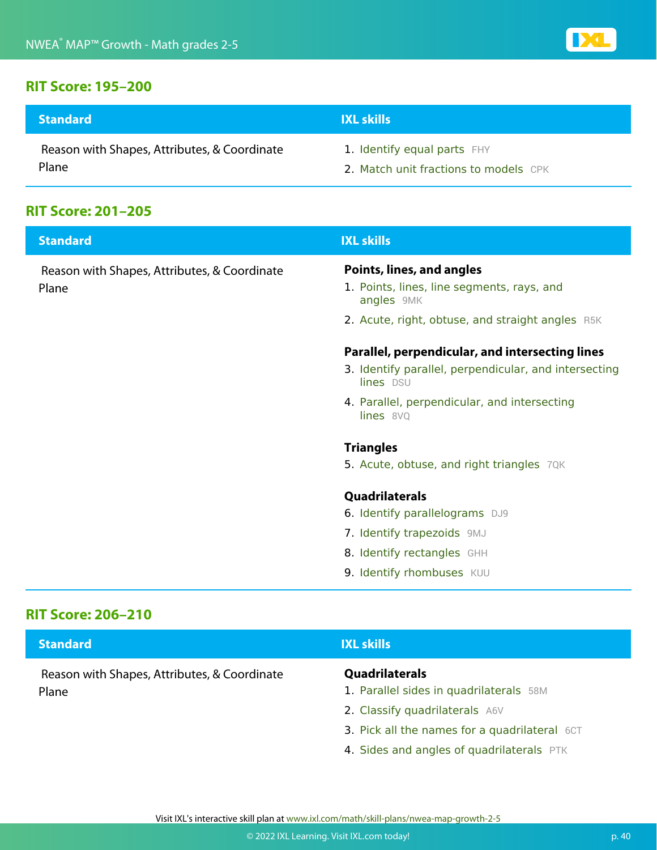#### **RIT Score: 195–200**

| <b>Standard</b>                              | <b>IXL skills</b>                     |
|----------------------------------------------|---------------------------------------|
| Reason with Shapes, Attributes, & Coordinate | 1. Identify equal parts FHY           |
| Plane                                        | 2. Match unit fractions to models CPK |

### **RIT Score: 201–205**

| <b>Standard</b>                                       | <b>IXL skills</b>                                                                                                     |
|-------------------------------------------------------|-----------------------------------------------------------------------------------------------------------------------|
| Reason with Shapes, Attributes, & Coordinate<br>Plane | Points, lines, and angles<br>1. Points, lines, line segments, rays, and<br>angles 9MK                                 |
|                                                       | 2. Acute, right, obtuse, and straight angles R5K                                                                      |
|                                                       | Parallel, perpendicular, and intersecting lines<br>3. Identify parallel, perpendicular, and intersecting<br>lines DSU |
|                                                       | 4. Parallel, perpendicular, and intersecting<br>lines 8VQ                                                             |
|                                                       | <b>Triangles</b>                                                                                                      |
|                                                       | 5. Acute, obtuse, and right triangles 7QK                                                                             |
|                                                       | Quadrilaterals                                                                                                        |
|                                                       | 6. Identify parallelograms DJ9                                                                                        |
|                                                       | 7. Identify trapezoids 9MJ                                                                                            |
|                                                       | 8. Identify rectangles GHH                                                                                            |
|                                                       | 9. Identify rhombuses KUU                                                                                             |
|                                                       |                                                                                                                       |

#### **RIT Score: 206–210**

| Quadrilaterals<br>Reason with Shapes, Attributes, & Coordinate<br>Plane | 1. Parallel sides in quadrilaterals 58M<br>2. Classify quadrilaterals A6V<br>3. Pick all the names for a quadrilateral 6CT<br>4. Sides and angles of quadrilaterals PTK |
|-------------------------------------------------------------------------|-------------------------------------------------------------------------------------------------------------------------------------------------------------------------|

Visit IXL's interactive skill plan at www.ixl.com/math/skill-plans/nwea-map-growth-2-5

**DE**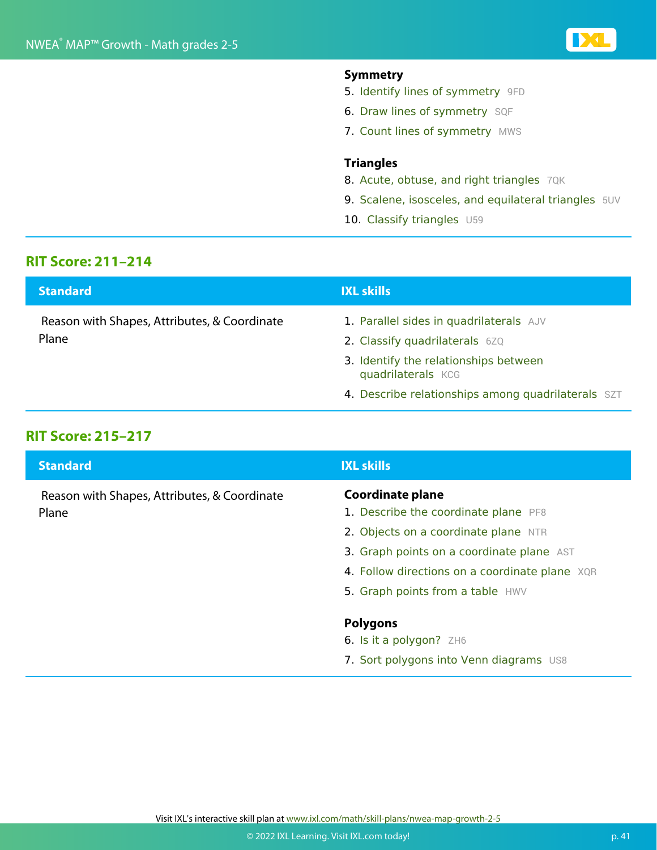#### **Symmetry**

- 5. Identify lines of symmetry 9FD
- 6. Draw lines of symmetry SQF
- 7. Count lines of symmetry MWS

#### **Triangles**

- 8. Acute, obtuse, and right triangles 7QK
- 9. Scalene, isosceles, and equilateral triangles 5UV
- 10. Classify triangles U59

### **RIT Score: 211–214**

| <b>Standard</b>                                       | <b>IXL skills</b>                                                         |
|-------------------------------------------------------|---------------------------------------------------------------------------|
| Reason with Shapes, Attributes, & Coordinate<br>Plane | 1. Parallel sides in quadrilaterals AJV<br>2. Classify quadrilaterals 6ZQ |
|                                                       | 3. Identify the relationships between<br>quadrilaterals KCG               |
|                                                       | 4. Describe relationships among quadrilaterals SZT                        |

#### **RIT Score: 215–217**

| <b>Standard</b>                                       | <b>IXL skills</b>                                               |
|-------------------------------------------------------|-----------------------------------------------------------------|
| Reason with Shapes, Attributes, & Coordinate<br>Plane | <b>Coordinate plane</b><br>1. Describe the coordinate plane PF8 |
|                                                       | 2. Objects on a coordinate plane NTR                            |
|                                                       | 3. Graph points on a coordinate plane AST                       |
|                                                       | 4. Follow directions on a coordinate plane XQR                  |
|                                                       | 5. Graph points from a table HWV                                |
|                                                       | <b>Polygons</b>                                                 |
|                                                       | 6. Is it a polygon? $ZH6$                                       |
|                                                       | 7. Sort polygons into Venn diagrams US8                         |